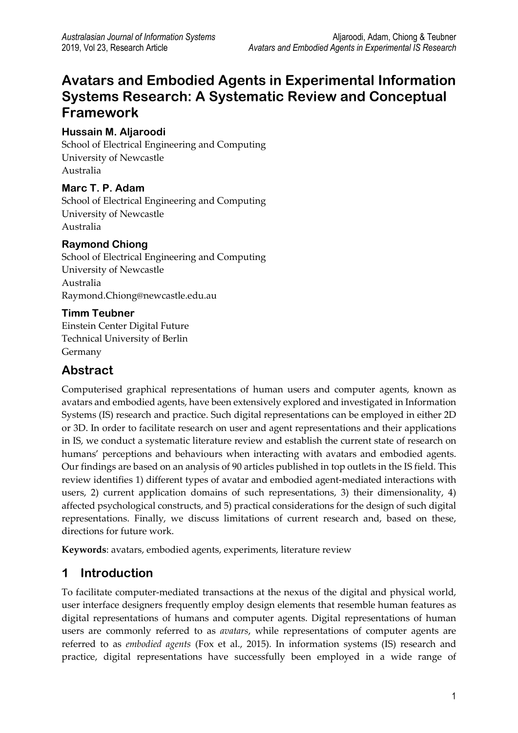# **Avatars and Embodied Agents in Experimental Information Systems Research: A Systematic Review and Conceptual Framework**

### **Hussain M. Aljaroodi**

School of Electrical Engineering and Computing University of Newcastle Australia

### **Marc T. P. Adam**

School of Electrical Engineering and Computing University of Newcastle Australia

#### **Raymond Chiong**

School of Electrical Engineering and Computing University of Newcastle Australia Raymond.Chiong@newcastle.edu.au

#### **Timm Teubner**

Einstein Center Digital Future Technical University of Berlin Germany

# **Abstract**

Computerised graphical representations of human users and computer agents, known as avatars and embodied agents, have been extensively explored and investigated in Information Systems (IS) research and practice. Such digital representations can be employed in either 2D or 3D. In order to facilitate research on user and agent representations and their applications in IS, we conduct a systematic literature review and establish the current state of research on humans' perceptions and behaviours when interacting with avatars and embodied agents. Our findings are based on an analysis of 90 articles published in top outlets in the IS field. This review identifies 1) different types of avatar and embodied agent-mediated interactions with users, 2) current application domains of such representations, 3) their dimensionality, 4) affected psychological constructs, and 5) practical considerations for the design of such digital representations. Finally, we discuss limitations of current research and, based on these, directions for future work.

**Keywords**: avatars, embodied agents, experiments, literature review

# **1 Introduction**

To facilitate computer-mediated transactions at the nexus of the digital and physical world, user interface designers frequently employ design elements that resemble human features as digital representations of humans and computer agents. Digital representations of human users are commonly referred to as *avatars*, while representations of computer agents are referred to as *embodied agents* (Fox et al., 2015). In information systems (IS) research and practice, digital representations have successfully been employed in a wide range of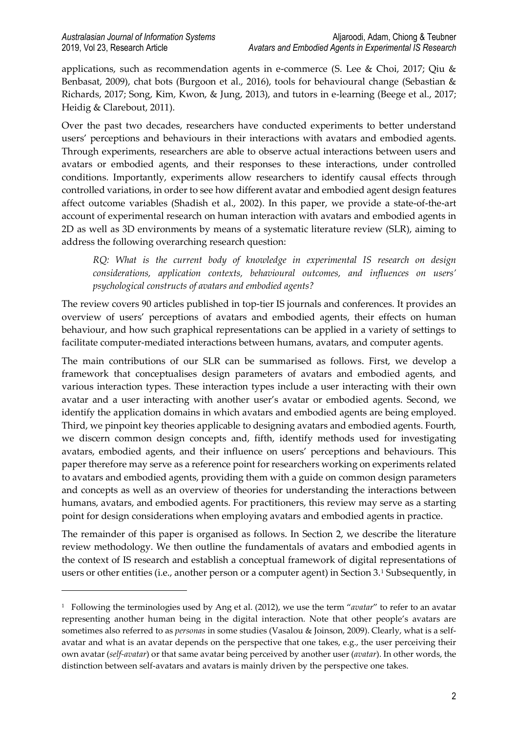1

applications, such as recommendation agents in e-commerce (S. Lee & Choi, 2017; Qiu & Benbasat, 2009), chat bots (Burgoon et al., 2016), tools for behavioural change (Sebastian & Richards, 2017; Song, Kim, Kwon, & Jung, 2013), and tutors in e-learning (Beege et al., 2017; Heidig & Clarebout, 2011).

Over the past two decades, researchers have conducted experiments to better understand users' perceptions and behaviours in their interactions with avatars and embodied agents. Through experiments, researchers are able to observe actual interactions between users and avatars or embodied agents, and their responses to these interactions, under controlled conditions. Importantly, experiments allow researchers to identify causal effects through controlled variations, in order to see how different avatar and embodied agent design features affect outcome variables (Shadish et al., 2002). In this paper, we provide a state-of-the-art account of experimental research on human interaction with avatars and embodied agents in 2D as well as 3D environments by means of a systematic literature review (SLR), aiming to address the following overarching research question:

*RQ: What is the current body of knowledge in experimental IS research on design considerations, application contexts, behavioural outcomes, and influences on users' psychological constructs of avatars and embodied agents?* 

The review covers 90 articles published in top-tier IS journals and conferences. It provides an overview of users' perceptions of avatars and embodied agents, their effects on human behaviour, and how such graphical representations can be applied in a variety of settings to facilitate computer-mediated interactions between humans, avatars, and computer agents.

The main contributions of our SLR can be summarised as follows. First, we develop a framework that conceptualises design parameters of avatars and embodied agents, and various interaction types. These interaction types include a user interacting with their own avatar and a user interacting with another user's avatar or embodied agents. Second, we identify the application domains in which avatars and embodied agents are being employed. Third, we pinpoint key theories applicable to designing avatars and embodied agents. Fourth, we discern common design concepts and, fifth, identify methods used for investigating avatars, embodied agents, and their influence on users' perceptions and behaviours. This paper therefore may serve as a reference point for researchers working on experiments related to avatars and embodied agents, providing them with a guide on common design parameters and concepts as well as an overview of theories for understanding the interactions between humans, avatars, and embodied agents. For practitioners, this review may serve as a starting point for design considerations when employing avatars and embodied agents in practice.

The remainder of this paper is organised as follows. In Section 2, we describe the literature review methodology. We then outline the fundamentals of avatars and embodied agents in the context of IS research and establish a conceptual framework of digital representations of users or other entities (i.e., another person or a computer agent) in Section 3.[1](#page-1-0) Subsequently, in

<span id="page-1-0"></span><sup>1</sup> Following the terminologies used by Ang et al. (2012), we use the term "*avatar*" to refer to an avatar representing another human being in the digital interaction. Note that other people's avatars are sometimes also referred to as *personas* in some studies (Vasalou & Joinson, 2009). Clearly, what is a selfavatar and what is an avatar depends on the perspective that one takes, e.g., the user perceiving their own avatar (*self-avatar*) or that same avatar being perceived by another user (*avatar*). In other words, the distinction between self-avatars and avatars is mainly driven by the perspective one takes.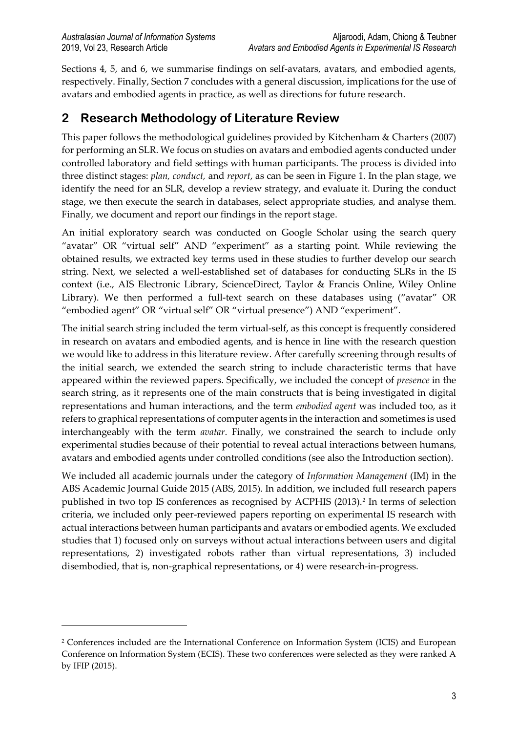<u>.</u>

Sections 4, 5, and 6, we summarise findings on self-avatars, avatars, and embodied agents, respectively. Finally, Section 7 concludes with a general discussion, implications for the use of avatars and embodied agents in practice, as well as directions for future research.

# **2 Research Methodology of Literature Review**

This paper follows the methodological guidelines provided by Kitchenham & Charters (2007) for performing an SLR. We focus on studies on avatars and embodied agents conducted under controlled laboratory and field settings with human participants. The process is divided into three distinct stages: *plan, conduct,* and *report*, as can be seen in Figure 1. In the plan stage, we identify the need for an SLR, develop a review strategy, and evaluate it. During the conduct stage, we then execute the search in databases, select appropriate studies, and analyse them. Finally, we document and report our findings in the report stage.

An initial exploratory search was conducted on Google Scholar using the search query "avatar" OR "virtual self" AND "experiment" as a starting point. While reviewing the obtained results, we extracted key terms used in these studies to further develop our search string. Next, we selected a well-established set of databases for conducting SLRs in the IS context (i.e., AIS Electronic Library, ScienceDirect, Taylor & Francis Online, Wiley Online Library). We then performed a full-text search on these databases using ("avatar" OR "embodied agent" OR "virtual self" OR "virtual presence") AND "experiment".

The initial search string included the term virtual-self, as this concept is frequently considered in research on avatars and embodied agents, and is hence in line with the research question we would like to address in this literature review. After carefully screening through results of the initial search, we extended the search string to include characteristic terms that have appeared within the reviewed papers. Specifically, we included the concept of *presence* in the search string, as it represents one of the main constructs that is being investigated in digital representations and human interactions, and the term *embodied agent* was included too, as it refers to graphical representations of computer agents in the interaction and sometimes is used interchangeably with the term *avatar*. Finally, we constrained the search to include only experimental studies because of their potential to reveal actual interactions between humans, avatars and embodied agents under controlled conditions (see also the Introduction section).

We included all academic journals under the category of *Information Management* (IM) in the ABS Academic Journal Guide 2015 (ABS, 2015). In addition, we included full research papers published in two top IS conferences as recognised by ACPHIS ([2](#page-2-0)013).<sup>2</sup> In terms of selection criteria, we included only peer-reviewed papers reporting on experimental IS research with actual interactions between human participants and avatars or embodied agents. We excluded studies that 1) focused only on surveys without actual interactions between users and digital representations, 2) investigated robots rather than virtual representations, 3) included disembodied, that is, non-graphical representations, or 4) were research-in-progress.

<span id="page-2-0"></span><sup>2</sup> Conferences included are the International Conference on Information System (ICIS) and European Conference on Information System (ECIS). These two conferences were selected as they were ranked A by IFIP (2015).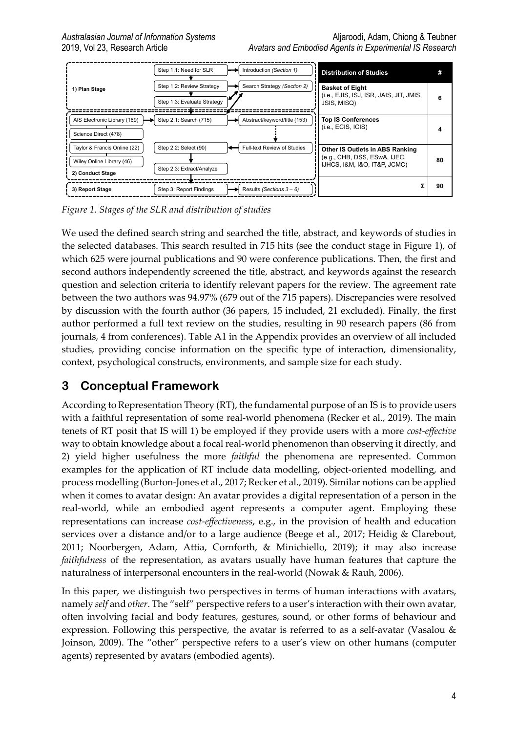

*Figure 1. Stages of the SLR and distribution of studies*

We used the defined search string and searched the title, abstract, and keywords of studies in the selected databases. This search resulted in 715 hits (see the conduct stage in Figure 1), of which 625 were journal publications and 90 were conference publications. Then, the first and second authors independently screened the title, abstract, and keywords against the research question and selection criteria to identify relevant papers for the review. The agreement rate between the two authors was 94.97% (679 out of the 715 papers). Discrepancies were resolved by discussion with the fourth author (36 papers, 15 included, 21 excluded). Finally, the first author performed a full text review on the studies, resulting in 90 research papers (86 from journals, 4 from conferences). Table A1 in the Appendix provides an overview of all included studies, providing concise information on the specific type of interaction, dimensionality, context, psychological constructs, environments, and sample size for each study.

# **3 Conceptual Framework**

According to Representation Theory (RT), the fundamental purpose of an IS is to provide users with a faithful representation of some real-world phenomena (Recker et al., 2019). The main tenets of RT posit that IS will 1) be employed if they provide users with a more *cost-effective* way to obtain knowledge about a focal real-world phenomenon than observing it directly, and 2) yield higher usefulness the more *faithful* the phenomena are represented. Common examples for the application of RT include data modelling, object-oriented modelling, and process modelling (Burton-Jones et al., 2017; Recker et al., 2019). Similar notions can be applied when it comes to avatar design: An avatar provides a digital representation of a person in the real-world, while an embodied agent represents a computer agent. Employing these representations can increase *cost-effectiveness*, e.g., in the provision of health and education services over a distance and/or to a large audience (Beege et al., 2017; Heidig & Clarebout, 2011; Noorbergen, Adam, Attia, Cornforth, & Minichiello, 2019); it may also increase *faithfulness* of the representation, as avatars usually have human features that capture the naturalness of interpersonal encounters in the real-world (Nowak & Rauh, 2006).

In this paper, we distinguish two perspectives in terms of human interactions with avatars, namely *self* and *other*. The "self" perspective refers to a user's interaction with their own avatar, often involving facial and body features, gestures, sound, or other forms of behaviour and expression. Following this perspective, the avatar is referred to as a self-avatar (Vasalou & Joinson, 2009). The "other" perspective refers to a user's view on other humans (computer agents) represented by avatars (embodied agents).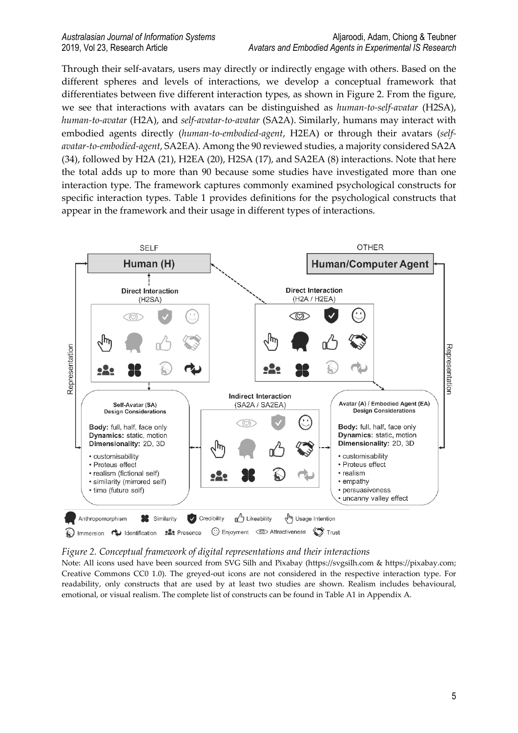Through their self-avatars, users may directly or indirectly engage with others. Based on the different spheres and levels of interactions, we develop a conceptual framework that differentiates between five different interaction types, as shown in Figure 2. From the figure, we see that interactions with avatars can be distinguished as *human-to-self-avatar* (H2SA), *human-to-avatar* (H2A), and *self-avatar-to-avatar* (SA2A). Similarly, humans may interact with embodied agents directly (*human-to-embodied-agent*, H2EA) or through their avatars (*selfavatar-to-embodied-agent*, SA2EA). Among the 90 reviewed studies, a majority considered SA2A (34), followed by H2A (21), H2EA (20), H2SA (17), and SA2EA (8) interactions. Note that here the total adds up to more than 90 because some studies have investigated more than one interaction type. The framework captures commonly examined psychological constructs for specific interaction types. Table 1 provides definitions for the psychological constructs that appear in the framework and their usage in different types of interactions.



*Figure 2. Conceptual framework of digital representations and their interactions*

Note: All icons used have been sourced from SVG Silh and Pixabay (https://svgsilh.com & https://pixabay.com; Creative Commons CC0 1.0). The greyed-out icons are not considered in the respective interaction type. For readability, only constructs that are used by at least two studies are shown. Realism includes behavioural, emotional, or visual realism. The complete list of constructs can be found in Table A1 in Appendix A.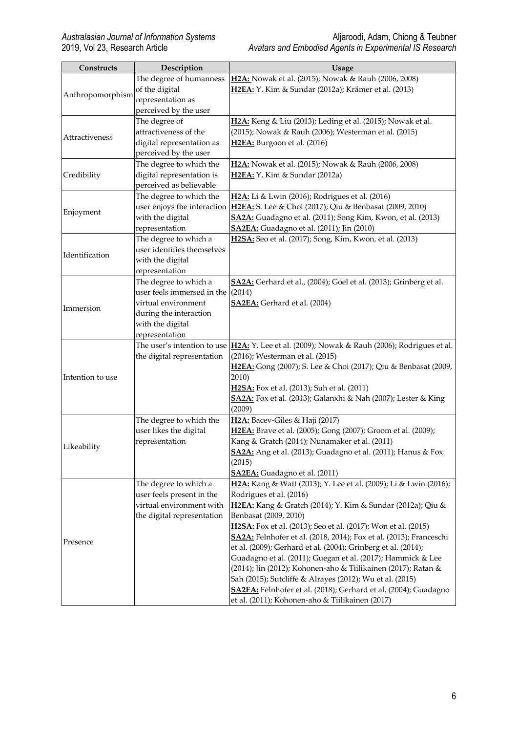| Constructs                                                                                                                       | Description                | <b>Usage</b>                                                                                                  |
|----------------------------------------------------------------------------------------------------------------------------------|----------------------------|---------------------------------------------------------------------------------------------------------------|
|                                                                                                                                  | The degree of humanness    | H2A: Nowak et al. (2015); Nowak & Rauh (2006, 2008)                                                           |
|                                                                                                                                  | of the digital             | H2EA: Y. Kim & Sundar (2012a); Krämer et al. (2013)                                                           |
|                                                                                                                                  | representation as          |                                                                                                               |
|                                                                                                                                  | perceived by the user      |                                                                                                               |
|                                                                                                                                  | The degree of              | H2A: Keng & Liu (2013); Leding et al. (2015); Nowak et al.                                                    |
| Anthropomorphism<br>Attractiveness<br>Credibility<br>Enjoyment<br>Identification<br>Immersion<br>Intention to use<br>Likeability | attractiveness of the      | (2015); Nowak & Rauh (2006); Westerman et al. (2015)                                                          |
|                                                                                                                                  | digital representation as  | H2EA: Burgoon et al. (2016)                                                                                   |
|                                                                                                                                  | perceived by the user      |                                                                                                               |
|                                                                                                                                  | The degree to which the    | H2A: Nowak et al. (2015); Nowak & Rauh (2006, 2008)                                                           |
|                                                                                                                                  | digital representation is  | H2EA: Y. Kim & Sundar (2012a)                                                                                 |
|                                                                                                                                  | perceived as believable    |                                                                                                               |
|                                                                                                                                  | The degree to which the    | H2A: Li & Lwin (2016); Rodrigues et al. (2016)                                                                |
|                                                                                                                                  |                            | user enjoys the interaction <b>H2EA</b> : S. Lee & Choi (2017); Qiu & Benbasat (2009, 2010)                   |
|                                                                                                                                  | with the digital           | SA2A: Guadagno et al. (2011); Song Kim, Kwon, et al. (2013)                                                   |
|                                                                                                                                  | representation             | <b>SA2EA:</b> Guadagno et al. (2011); Jin (2010)                                                              |
|                                                                                                                                  | The degree to which a      | H2SA: Seo et al. (2017); Song, Kim, Kwon, et al. (2013)                                                       |
|                                                                                                                                  | user identifies themselves |                                                                                                               |
|                                                                                                                                  | with the digital           |                                                                                                               |
|                                                                                                                                  | representation             |                                                                                                               |
|                                                                                                                                  | The degree to which a      | SA2A: Gerhard et al., (2004); Goel et al. (2013); Grinberg et al.                                             |
|                                                                                                                                  | user feels immersed in the | (2014)                                                                                                        |
|                                                                                                                                  | virtual environment        | <b>SA2EA</b> : Gerhard et al. (2004)                                                                          |
|                                                                                                                                  | during the interaction     |                                                                                                               |
|                                                                                                                                  | with the digital           |                                                                                                               |
|                                                                                                                                  | representation             |                                                                                                               |
|                                                                                                                                  |                            | The user's intention to use  H2A: Y. Lee et al. (2009); Nowak & Rauh (2006); Rodrigues et al.                 |
|                                                                                                                                  | the digital representation | (2016); Westerman et al. (2015)                                                                               |
|                                                                                                                                  |                            | H2EA: Gong (2007); S. Lee & Choi (2017); Qiu & Benbasat (2009,                                                |
|                                                                                                                                  |                            | 2010)                                                                                                         |
|                                                                                                                                  |                            | H2SA: Fox et al. (2013); Suh et al. (2011)                                                                    |
|                                                                                                                                  |                            | SA2A: Fox et al. (2013); Galanxhi & Nah (2007); Lester & King                                                 |
|                                                                                                                                  |                            | (2009)                                                                                                        |
|                                                                                                                                  | The degree to which the    | H2A: Bacev-Giles & Haji (2017)                                                                                |
|                                                                                                                                  | user likes the digital     | H2EA: Brave et al. (2005); Gong (2007); Groom et al. (2009);                                                  |
|                                                                                                                                  | representation             | Kang & Gratch (2014); Nunamaker et al. (2011)<br>SA2A: Ang et al. (2013); Guadagno et al. (2011); Hanus & Fox |
|                                                                                                                                  |                            | (2015)                                                                                                        |
|                                                                                                                                  |                            | SA2EA: Guadagno et al. (2011)                                                                                 |
|                                                                                                                                  | The degree to which a      | H2A: Kang & Watt (2013); Y. Lee et al. (2009); Li & Lwin (2016);                                              |
|                                                                                                                                  | user feels present in the  | Rodrigues et al. (2016)                                                                                       |
|                                                                                                                                  | virtual environment with   | H2EA: Kang & Gratch (2014); Y. Kim & Sundar (2012a); Qiu &                                                    |
|                                                                                                                                  | the digital representation | Benbasat (2009, 2010)                                                                                         |
|                                                                                                                                  |                            | H2SA: Fox et al. (2013); Seo et al. (2017); Won et al. (2015)                                                 |
|                                                                                                                                  |                            | SA2A: Felnhofer et al. (2018, 2014); Fox et al. (2013); Franceschi                                            |
| Presence                                                                                                                         |                            | et al. (2009); Gerhard et al. (2004); Grinberg et al. (2014);                                                 |
|                                                                                                                                  |                            | Guadagno et al. (2011); Guegan et al. (2017); Hammick & Lee                                                   |
|                                                                                                                                  |                            | (2014); Jin (2012); Kohonen-aho & Tiilikainen (2017); Ratan &                                                 |
|                                                                                                                                  |                            | Sah (2015); Sutcliffe & Alrayes (2012); Wu et al. (2015)                                                      |
|                                                                                                                                  |                            | SA2EA: Felnhofer et al. (2018); Gerhard et al. (2004); Guadagno                                               |
|                                                                                                                                  |                            | et al. (2011); Kohonen-aho & Tiilikainen (2017)                                                               |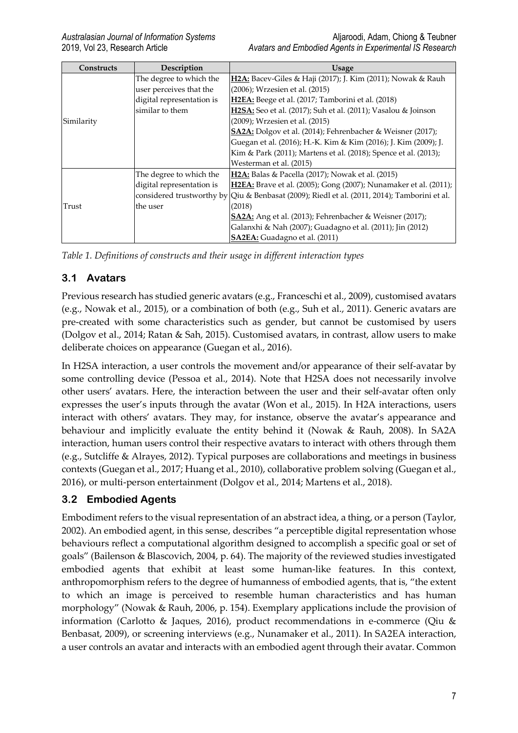| Constructs | Description               | <b>Usage</b>                                                                                 |
|------------|---------------------------|----------------------------------------------------------------------------------------------|
|            | The degree to which the   | H2A: Bacev-Giles & Haji (2017); J. Kim (2011); Nowak & Rauh                                  |
|            | user perceives that the   | (2006); Wrzesien et al. (2015)                                                               |
|            | digital representation is | H2EA: Beege et al. (2017; Tamborini et al. (2018)                                            |
|            | similar to them           | H2SA: Seo et al. (2017); Suh et al. (2011); Vasalou & Joinson                                |
| Similarity |                           | (2009); Wrzesien et al. (2015)                                                               |
|            |                           | SA2A: Dolgov et al. (2014); Fehrenbacher & Weisner (2017);                                   |
|            |                           | Guegan et al. (2016); H.-K. Kim & Kim (2016); J. Kim (2009); J.                              |
|            |                           | Kim & Park (2011); Martens et al. (2018); Spence et al. (2013);                              |
|            |                           | Westerman et al. (2015)                                                                      |
|            | The degree to which the   | <b>H2A:</b> Balas & Pacella (2017); Nowak et al. (2015)                                      |
|            | digital representation is | H2EA: Brave et al. (2005); Gong (2007); Nunamaker et al. (2011);                             |
|            |                           | considered trustworthy by Qiu & Benbasat (2009); Riedl et al. (2011, 2014); Tamborini et al. |
| Trust      | the user                  | (2018)                                                                                       |
|            |                           | SA2A: Ang et al. (2013); Fehrenbacher & Weisner (2017);                                      |
|            |                           | Galanxhi & Nah (2007); Guadagno et al. (2011); Jin (2012)                                    |
|            |                           | <b>SA2EA:</b> Guadagno et al. (2011)                                                         |

*Table 1. Definitions of constructs and their usage in different interaction types*

### **3.1 Avatars**

Previous research has studied generic avatars (e.g., Franceschi et al., 2009), customised avatars (e.g., Nowak et al., 2015), or a combination of both (e.g., Suh et al., 2011). Generic avatars are pre-created with some characteristics such as gender, but cannot be customised by users (Dolgov et al., 2014; Ratan & Sah, 2015). Customised avatars, in contrast, allow users to make deliberate choices on appearance (Guegan et al., 2016).

In H2SA interaction, a user controls the movement and/or appearance of their self-avatar by some controlling device (Pessoa et al., 2014). Note that H2SA does not necessarily involve other users' avatars. Here, the interaction between the user and their self-avatar often only expresses the user's inputs through the avatar (Won et al., 2015). In H2A interactions, users interact with others' avatars. They may, for instance, observe the avatar's appearance and behaviour and implicitly evaluate the entity behind it (Nowak & Rauh, 2008). In SA2A interaction, human users control their respective avatars to interact with others through them (e.g., Sutcliffe & Alrayes, 2012). Typical purposes are collaborations and meetings in business contexts (Guegan et al., 2017; Huang et al., 2010), collaborative problem solving (Guegan et al., 2016), or multi-person entertainment (Dolgov et al., 2014; Martens et al., 2018).

### **3.2 Embodied Agents**

Embodiment refers to the visual representation of an abstract idea, a thing, or a person (Taylor, 2002). An embodied agent, in this sense, describes "a perceptible digital representation whose behaviours reflect a computational algorithm designed to accomplish a specific goal or set of goals" (Bailenson & Blascovich, 2004, p. 64). The majority of the reviewed studies investigated embodied agents that exhibit at least some human-like features. In this context, anthropomorphism refers to the degree of humanness of embodied agents, that is, "the extent to which an image is perceived to resemble human characteristics and has human morphology" (Nowak & Rauh, 2006, p. 154). Exemplary applications include the provision of information (Carlotto & Jaques, 2016), product recommendations in e-commerce (Qiu & Benbasat, 2009), or screening interviews (e.g., Nunamaker et al., 2011). In SA2EA interaction, a user controls an avatar and interacts with an embodied agent through their avatar. Common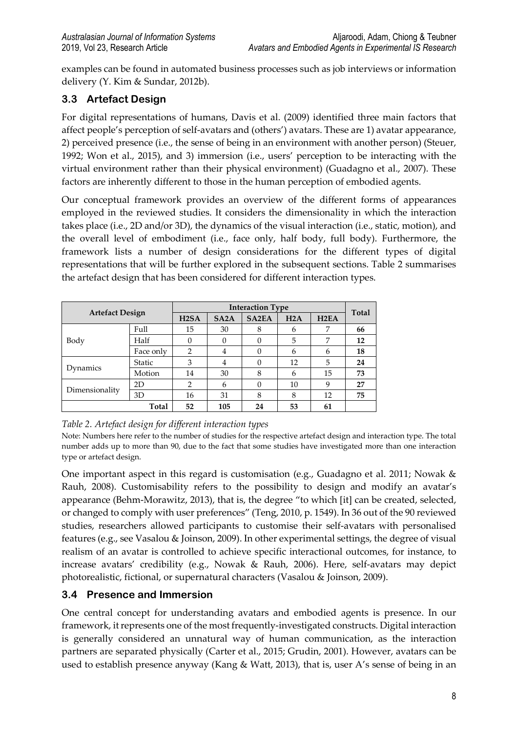examples can be found in automated business processes such as job interviews or information delivery (Y. Kim & Sundar, 2012b).

# **3.3 Artefact Design**

For digital representations of humans, Davis et al. (2009) identified three main factors that affect people's perception of self-avatars and (others') avatars. These are 1) avatar appearance, 2) perceived presence (i.e., the sense of being in an environment with another person) (Steuer, 1992; Won et al., 2015), and 3) immersion (i.e., users' perception to be interacting with the virtual environment rather than their physical environment) (Guadagno et al., 2007). These factors are inherently different to those in the human perception of embodied agents.

Our conceptual framework provides an overview of the different forms of appearances employed in the reviewed studies. It considers the dimensionality in which the interaction takes place (i.e., 2D and/or 3D), the dynamics of the visual interaction (i.e., static, motion), and the overall level of embodiment (i.e., face only, half body, full body). Furthermore, the framework lists a number of design considerations for the different types of digital representations that will be further explored in the subsequent sections. Table 2 summarises the artefact design that has been considered for different interaction types.

| <b>Artefact Design</b> |               |                   | <b>Total</b>      |              |     |                   |    |
|------------------------|---------------|-------------------|-------------------|--------------|-----|-------------------|----|
|                        |               | H <sub>2</sub> SA | SA <sub>2</sub> A | <b>SA2EA</b> | H2A | H <sub>2</sub> EA |    |
|                        | Full          | 15                | 30                | 8            | 6   | 7                 | 66 |
| Body                   | Half          | 0                 | $\Omega$          |              | 5   | 7                 | 12 |
|                        | Face only     | $\overline{2}$    | 4                 |              | 6   | 6                 | 18 |
|                        | <b>Static</b> | 3                 | 4                 | 0            | 12  | 5                 | 24 |
| Dynamics               | Motion        | 14                | 30                | 8            | 6   | 15                | 73 |
| Dimensionality         | 2D            | 2                 | 6                 |              | 10  | 9                 | 27 |
|                        | 3D            | 16                | 31                | 8            | 8   | 12                | 75 |
|                        | Total         | 52                | 105               | 24           | 53  | 61                |    |

*Table 2. Artefact design for different interaction types*

Note: Numbers here refer to the number of studies for the respective artefact design and interaction type. The total number adds up to more than 90, due to the fact that some studies have investigated more than one interaction type or artefact design.

One important aspect in this regard is customisation (e.g., Guadagno et al. 2011; Nowak & Rauh, 2008). Customisability refers to the possibility to design and modify an avatar's appearance (Behm-Morawitz, 2013), that is, the degree "to which [it] can be created, selected, or changed to comply with user preferences" (Teng, 2010, p. 1549). In 36 out of the 90 reviewed studies, researchers allowed participants to customise their self-avatars with personalised features (e.g., see Vasalou & Joinson, 2009). In other experimental settings, the degree of visual realism of an avatar is controlled to achieve specific interactional outcomes, for instance, to increase avatars' credibility (e.g., Nowak & Rauh, 2006). Here, self-avatars may depict photorealistic, fictional, or supernatural characters (Vasalou & Joinson, 2009).

### **3.4 Presence and Immersion**

One central concept for understanding avatars and embodied agents is presence. In our framework, it represents one of the most frequently-investigated constructs. Digital interaction is generally considered an unnatural way of human communication, as the interaction partners are separated physically (Carter et al., 2015; Grudin, 2001). However, avatars can be used to establish presence anyway (Kang & Watt, 2013), that is, user A's sense of being in an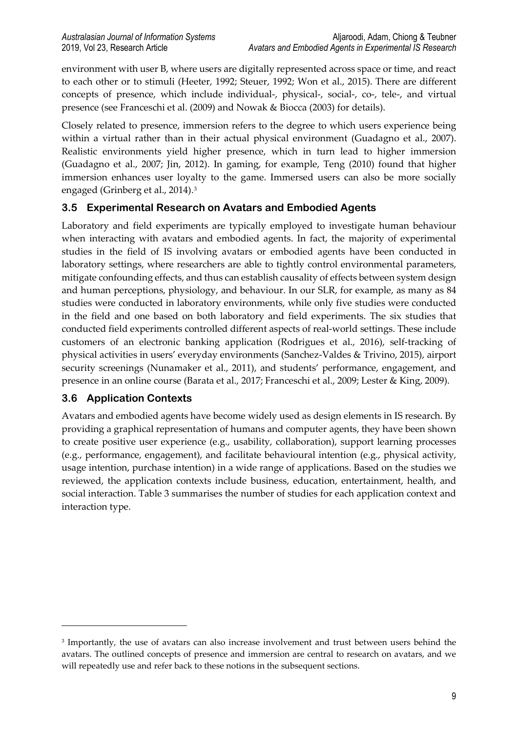environment with user B, where users are digitally represented across space or time, and react to each other or to stimuli (Heeter, 1992; Steuer, 1992; Won et al., 2015). There are different concepts of presence, which include individual-, physical-, social-, co-, tele-, and virtual presence (see Franceschi et al. (2009) and Nowak & Biocca (2003) for details).

Closely related to presence, immersion refers to the degree to which users experience being within a virtual rather than in their actual physical environment (Guadagno et al., 2007). Realistic environments yield higher presence, which in turn lead to higher immersion (Guadagno et al., 2007; Jin, 2012). In gaming, for example, Teng (2010) found that higher immersion enhances user loyalty to the game. Immersed users can also be more socially engaged (Grinberg et al., 2014).[3](#page-8-0)

### **3.5 Experimental Research on Avatars and Embodied Agents**

Laboratory and field experiments are typically employed to investigate human behaviour when interacting with avatars and embodied agents. In fact, the majority of experimental studies in the field of IS involving avatars or embodied agents have been conducted in laboratory settings, where researchers are able to tightly control environmental parameters, mitigate confounding effects, and thus can establish causality of effects between system design and human perceptions, physiology, and behaviour. In our SLR, for example, as many as 84 studies were conducted in laboratory environments, while only five studies were conducted in the field and one based on both laboratory and field experiments. The six studies that conducted field experiments controlled different aspects of real-world settings. These include customers of an electronic banking application (Rodrigues et al., 2016), self-tracking of physical activities in users' everyday environments (Sanchez-Valdes & Trivino, 2015), airport security screenings (Nunamaker et al., 2011), and students' performance, engagement, and presence in an online course (Barata et al., 2017; Franceschi et al., 2009; Lester & King, 2009).

#### **3.6 Application Contexts**

<u>.</u>

Avatars and embodied agents have become widely used as design elements in IS research. By providing a graphical representation of humans and computer agents, they have been shown to create positive user experience (e.g., usability, collaboration), support learning processes (e.g., performance, engagement), and facilitate behavioural intention (e.g., physical activity, usage intention, purchase intention) in a wide range of applications. Based on the studies we reviewed, the application contexts include business, education, entertainment, health, and social interaction. Table 3 summarises the number of studies for each application context and interaction type.

<span id="page-8-0"></span><sup>&</sup>lt;sup>3</sup> Importantly, the use of avatars can also increase involvement and trust between users behind the avatars. The outlined concepts of presence and immersion are central to research on avatars, and we will repeatedly use and refer back to these notions in the subsequent sections.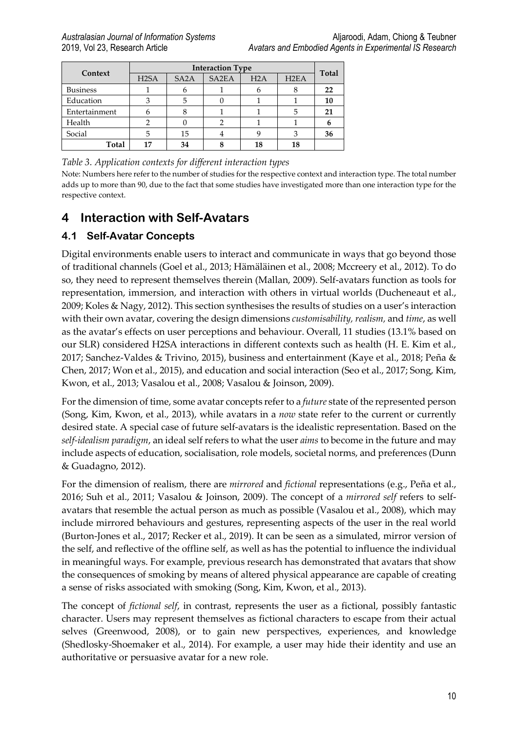|                 | <b>Interaction Type</b> |                   |                    |     |                   |              |
|-----------------|-------------------------|-------------------|--------------------|-----|-------------------|--------------|
| Context         | H <sub>2</sub> SA       | SA <sub>2</sub> A | SA <sub>2</sub> EA | H2A | H <sub>2</sub> EA | <b>Total</b> |
| <b>Business</b> |                         |                   |                    |     |                   | 22           |
| Education       |                         | 5                 |                    |     |                   | 10           |
| Entertainment   |                         |                   |                    |     |                   | 21           |
| Health          |                         |                   |                    |     |                   |              |
| Social          |                         | 15                |                    |     |                   | 36           |
| Total           |                         | 34                |                    | 18  | 18                |              |

#### *Table 3. Application contexts for different interaction types*

Note: Numbers here refer to the number of studies for the respective context and interaction type. The total number adds up to more than 90, due to the fact that some studies have investigated more than one interaction type for the respective context.

# **4 Interaction with Self-Avatars**

#### **4.1 Self-Avatar Concepts**

Digital environments enable users to interact and communicate in ways that go beyond those of traditional channels (Goel et al., 2013; Hämäläinen et al., 2008; Mccreery et al., 2012). To do so, they need to represent themselves therein (Mallan, 2009). Self-avatars function as tools for representation, immersion, and interaction with others in virtual worlds (Ducheneaut et al., 2009; Koles & Nagy, 2012). This section synthesises the results of studies on a user's interaction with their own avatar, covering the design dimensions *customisability, realism,* and *time*, as well as the avatar's effects on user perceptions and behaviour. Overall, 11 studies (13.1% based on our SLR) considered H2SA interactions in different contexts such as health (H. E. Kim et al., 2017; Sanchez-Valdes & Trivino, 2015), business and entertainment (Kaye et al., 2018; Peña & Chen, 2017; Won et al., 2015), and education and social interaction (Seo et al., 2017; Song, Kim, Kwon, et al., 2013; Vasalou et al., 2008; Vasalou & Joinson, 2009).

For the dimension of time, some avatar concepts refer to a *future* state of the represented person (Song, Kim, Kwon, et al., 2013), while avatars in a *now* state refer to the current or currently desired state. A special case of future self-avatars is the idealistic representation. Based on the *self-idealism paradigm*, an ideal self refers to what the user *aims* to become in the future and may include aspects of education, socialisation, role models, societal norms, and preferences (Dunn & Guadagno, 2012).

For the dimension of realism, there are *mirrored* and *fictional* representations (e.g., Peña et al., 2016; Suh et al., 2011; Vasalou & Joinson, 2009). The concept of a *mirrored self* refers to selfavatars that resemble the actual person as much as possible (Vasalou et al., 2008), which may include mirrored behaviours and gestures, representing aspects of the user in the real world (Burton-Jones et al., 2017; Recker et al., 2019). It can be seen as a simulated, mirror version of the self, and reflective of the offline self, as well as has the potential to influence the individual in meaningful ways. For example, previous research has demonstrated that avatars that show the consequences of smoking by means of altered physical appearance are capable of creating a sense of risks associated with smoking (Song, Kim, Kwon, et al., 2013).

The concept of *fictional self*, in contrast, represents the user as a fictional, possibly fantastic character. Users may represent themselves as fictional characters to escape from their actual selves (Greenwood, 2008), or to gain new perspectives, experiences, and knowledge (Shedlosky-Shoemaker et al., 2014). For example, a user may hide their identity and use an authoritative or persuasive avatar for a new role.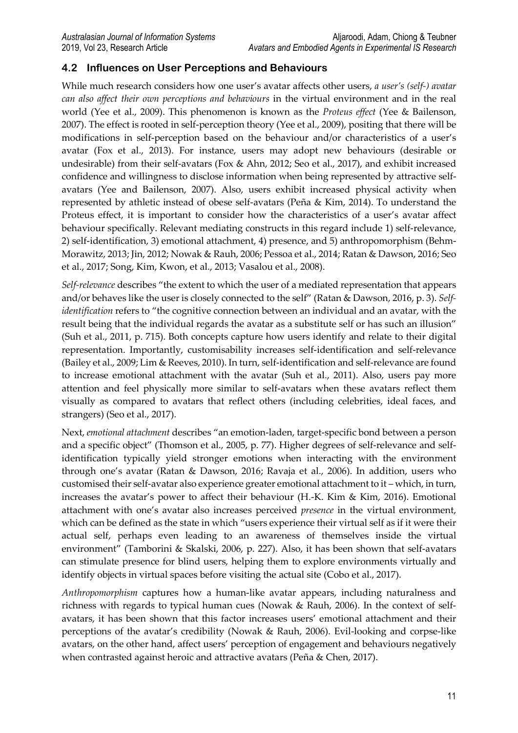#### **4.2 Influences on User Perceptions and Behaviours**

While much research considers how one user's avatar affects other users, *a user's (self-) avatar can also affect their own perceptions and behaviours* in the virtual environment and in the real world (Yee et al., 2009). This phenomenon is known as the *Proteus effect* (Yee & Bailenson, 2007). The effect is rooted in self-perception theory (Yee et al., 2009), positing that there will be modifications in self-perception based on the behaviour and/or characteristics of a user's avatar (Fox et al., 2013). For instance, users may adopt new behaviours (desirable or undesirable) from their self-avatars (Fox & Ahn, 2012; Seo et al., 2017), and exhibit increased confidence and willingness to disclose information when being represented by attractive selfavatars (Yee and Bailenson, 2007). Also, users exhibit increased physical activity when represented by athletic instead of obese self-avatars (Peña & Kim, 2014). To understand the Proteus effect, it is important to consider how the characteristics of a user's avatar affect behaviour specifically. Relevant mediating constructs in this regard include 1) self-relevance, 2) self-identification, 3) emotional attachment, 4) presence, and 5) anthropomorphism (Behm-Morawitz, 2013; Jin, 2012; Nowak & Rauh, 2006; Pessoa et al., 2014; Ratan & Dawson, 2016; Seo et al., 2017; Song, Kim, Kwon, et al., 2013; Vasalou et al., 2008).

*Self-relevance* describes "the extent to which the user of a mediated representation that appears and/or behaves like the user is closely connected to the self" (Ratan & Dawson, 2016, p. 3). *Selfidentification* refers to "the cognitive connection between an individual and an avatar, with the result being that the individual regards the avatar as a substitute self or has such an illusion" (Suh et al., 2011, p. 715). Both concepts capture how users identify and relate to their digital representation. Importantly, customisability increases self-identification and self-relevance (Bailey et al., 2009; Lim & Reeves, 2010). In turn, self-identification and self-relevance are found to increase emotional attachment with the avatar (Suh et al., 2011). Also, users pay more attention and feel physically more similar to self-avatars when these avatars reflect them visually as compared to avatars that reflect others (including celebrities, ideal faces, and strangers) (Seo et al., 2017).

Next, *emotional attachment* describes "an emotion-laden, target-specific bond between a person and a specific object" (Thomson et al., 2005, p. 77). Higher degrees of self-relevance and selfidentification typically yield stronger emotions when interacting with the environment through one's avatar (Ratan & Dawson, 2016; Ravaja et al., 2006). In addition, users who customised their self-avatar also experience greater emotional attachment to it – which, in turn, increases the avatar's power to affect their behaviour (H.-K. Kim & Kim, 2016). Emotional attachment with one's avatar also increases perceived *presence* in the virtual environment, which can be defined as the state in which "users experience their virtual self as if it were their actual self, perhaps even leading to an awareness of themselves inside the virtual environment" (Tamborini & Skalski, 2006, p. 227). Also, it has been shown that self-avatars can stimulate presence for blind users, helping them to explore environments virtually and identify objects in virtual spaces before visiting the actual site (Cobo et al., 2017).

*Anthropomorphism* captures how a human-like avatar appears, including naturalness and richness with regards to typical human cues (Nowak & Rauh, 2006). In the context of selfavatars, it has been shown that this factor increases users' emotional attachment and their perceptions of the avatar's credibility (Nowak & Rauh, 2006). Evil-looking and corpse-like avatars, on the other hand, affect users' perception of engagement and behaviours negatively when contrasted against heroic and attractive avatars (Peña & Chen, 2017).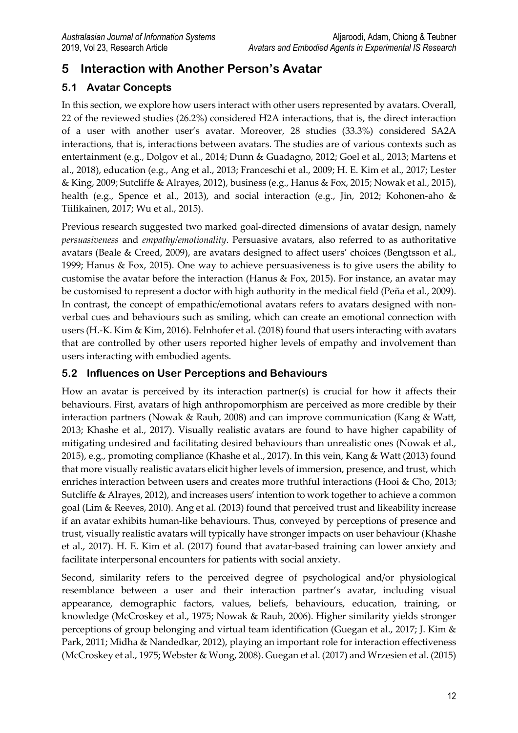# **5 Interaction with Another Person's Avatar**

### **5.1 Avatar Concepts**

In this section, we explore how users interact with other users represented by avatars. Overall, 22 of the reviewed studies (26.2%) considered H2A interactions, that is, the direct interaction of a user with another user's avatar. Moreover, 28 studies (33.3%) considered SA2A interactions, that is, interactions between avatars. The studies are of various contexts such as entertainment (e.g., Dolgov et al., 2014; Dunn & Guadagno, 2012; Goel et al., 2013; Martens et al., 2018), education (e.g., Ang et al., 2013; Franceschi et al., 2009; H. E. Kim et al., 2017; Lester & King, 2009; Sutcliffe & Alrayes, 2012), business (e.g., Hanus & Fox, 2015; Nowak et al., 2015), health (e.g., Spence et al., 2013), and social interaction (e.g., Jin, 2012; Kohonen-aho & Tiilikainen, 2017; Wu et al., 2015).

Previous research suggested two marked goal-directed dimensions of avatar design, namely *persuasiveness* and *empathy/emotionality*. Persuasive avatars, also referred to as authoritative avatars (Beale & Creed, 2009), are avatars designed to affect users' choices (Bengtsson et al., 1999; Hanus & Fox, 2015). One way to achieve persuasiveness is to give users the ability to customise the avatar before the interaction (Hanus & Fox, 2015). For instance, an avatar may be customised to represent a doctor with high authority in the medical field (Peña et al., 2009). In contrast, the concept of empathic/emotional avatars refers to avatars designed with nonverbal cues and behaviours such as smiling, which can create an emotional connection with users (H.-K. Kim & Kim, 2016). Felnhofer et al. (2018) found that users interacting with avatars that are controlled by other users reported higher levels of empathy and involvement than users interacting with embodied agents.

### **5.2 Influences on User Perceptions and Behaviours**

How an avatar is perceived by its interaction partner(s) is crucial for how it affects their behaviours. First, avatars of high anthropomorphism are perceived as more credible by their interaction partners (Nowak & Rauh, 2008) and can improve communication (Kang & Watt, 2013; Khashe et al., 2017). Visually realistic avatars are found to have higher capability of mitigating undesired and facilitating desired behaviours than unrealistic ones (Nowak et al., 2015), e.g., promoting compliance (Khashe et al., 2017). In this vein, Kang & Watt (2013) found that more visually realistic avatars elicit higher levels of immersion, presence, and trust, which enriches interaction between users and creates more truthful interactions (Hooi & Cho, 2013; Sutcliffe & Alrayes, 2012), and increases users' intention to work together to achieve a common goal (Lim & Reeves, 2010). Ang et al. (2013) found that perceived trust and likeability increase if an avatar exhibits human-like behaviours. Thus, conveyed by perceptions of presence and trust, visually realistic avatars will typically have stronger impacts on user behaviour (Khashe et al., 2017). H. E. Kim et al. (2017) found that avatar-based training can lower anxiety and facilitate interpersonal encounters for patients with social anxiety.

Second, similarity refers to the perceived degree of psychological and/or physiological resemblance between a user and their interaction partner's avatar, including visual appearance, demographic factors, values, beliefs, behaviours, education, training, or knowledge (McCroskey et al., 1975; Nowak & Rauh, 2006). Higher similarity yields stronger perceptions of group belonging and virtual team identification (Guegan et al., 2017; J. Kim & Park, 2011; Midha & Nandedkar, 2012), playing an important role for interaction effectiveness (McCroskey et al., 1975; Webster & Wong, 2008). Guegan et al. (2017) and Wrzesien et al. (2015)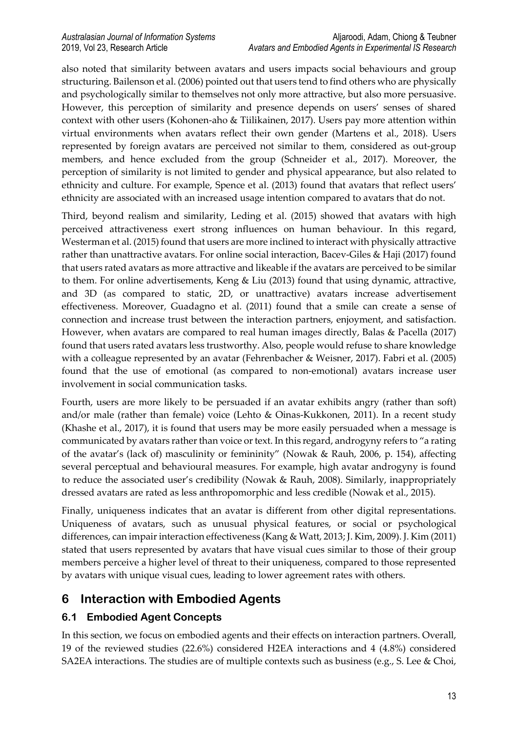also noted that similarity between avatars and users impacts social behaviours and group structuring. Bailenson et al. (2006) pointed out that users tend to find others who are physically and psychologically similar to themselves not only more attractive, but also more persuasive. However, this perception of similarity and presence depends on users' senses of shared context with other users (Kohonen-aho & Tiilikainen, 2017). Users pay more attention within virtual environments when avatars reflect their own gender (Martens et al., 2018). Users represented by foreign avatars are perceived not similar to them, considered as out-group members, and hence excluded from the group (Schneider et al., 2017). Moreover, the perception of similarity is not limited to gender and physical appearance, but also related to ethnicity and culture. For example, Spence et al. (2013) found that avatars that reflect users' ethnicity are associated with an increased usage intention compared to avatars that do not.

Third, beyond realism and similarity, Leding et al. (2015) showed that avatars with high perceived attractiveness exert strong influences on human behaviour. In this regard, Westerman et al. (2015) found that users are more inclined to interact with physically attractive rather than unattractive avatars. For online social interaction, Bacev-Giles & Haji (2017) found that users rated avatars as more attractive and likeable if the avatars are perceived to be similar to them. For online advertisements, Keng & Liu (2013) found that using dynamic, attractive, and 3D (as compared to static, 2D, or unattractive) avatars increase advertisement effectiveness. Moreover, Guadagno et al. (2011) found that a smile can create a sense of connection and increase trust between the interaction partners, enjoyment, and satisfaction. However, when avatars are compared to real human images directly, Balas & Pacella (2017) found that users rated avatars less trustworthy. Also, people would refuse to share knowledge with a colleague represented by an avatar (Fehrenbacher & Weisner, 2017). Fabri et al. (2005) found that the use of emotional (as compared to non-emotional) avatars increase user involvement in social communication tasks.

Fourth, users are more likely to be persuaded if an avatar exhibits angry (rather than soft) and/or male (rather than female) voice (Lehto & Oinas-Kukkonen, 2011). In a recent study (Khashe et al., 2017), it is found that users may be more easily persuaded when a message is communicated by avatars rather than voice or text. In this regard, androgyny refers to "a rating of the avatar's (lack of) masculinity or femininity" (Nowak & Rauh, 2006, p. 154), affecting several perceptual and behavioural measures. For example, high avatar androgyny is found to reduce the associated user's credibility (Nowak & Rauh, 2008). Similarly, inappropriately dressed avatars are rated as less anthropomorphic and less credible (Nowak et al., 2015).

Finally, uniqueness indicates that an avatar is different from other digital representations. Uniqueness of avatars, such as unusual physical features, or social or psychological differences, can impair interaction effectiveness (Kang & Watt, 2013; J. Kim, 2009). J. Kim (2011) stated that users represented by avatars that have visual cues similar to those of their group members perceive a higher level of threat to their uniqueness, compared to those represented by avatars with unique visual cues, leading to lower agreement rates with others.

# **6 Interaction with Embodied Agents**

### **6.1 Embodied Agent Concepts**

In this section, we focus on embodied agents and their effects on interaction partners. Overall, 19 of the reviewed studies (22.6%) considered H2EA interactions and 4 (4.8%) considered SA2EA interactions. The studies are of multiple contexts such as business (e.g., S. Lee & Choi,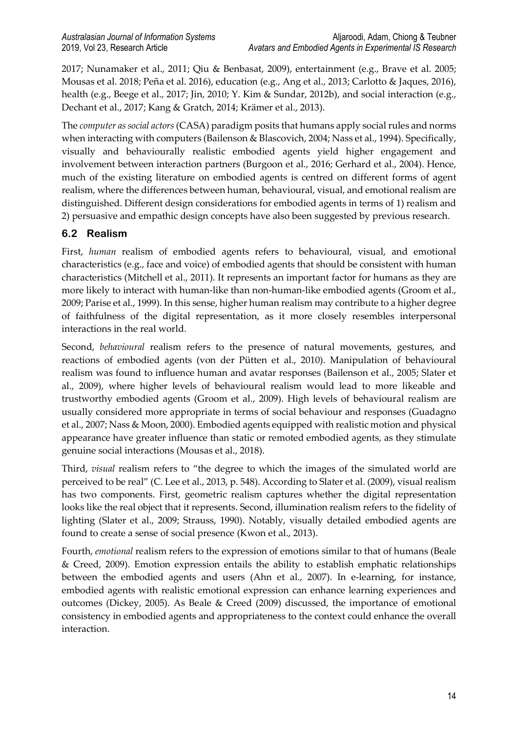2017; Nunamaker et al., 2011; Qiu & Benbasat, 2009), entertainment (e.g., Brave et al. 2005; Mousas et al. 2018; Peña et al. 2016), education (e.g., Ang et al., 2013; Carlotto & Jaques, 2016), health (e.g., Beege et al., 2017; Jin, 2010; Y. Kim & Sundar, 2012b), and social interaction (e.g., Dechant et al., 2017; Kang & Gratch, 2014; Krämer et al., 2013).

The *computer as social actors* (CASA) paradigm posits that humans apply social rules and norms when interacting with computers (Bailenson & Blascovich, 2004; Nass et al., 1994). Specifically, visually and behaviourally realistic embodied agents yield higher engagement and involvement between interaction partners (Burgoon et al., 2016; Gerhard et al., 2004). Hence, much of the existing literature on embodied agents is centred on different forms of agent realism, where the differences between human, behavioural, visual, and emotional realism are distinguished. Different design considerations for embodied agents in terms of 1) realism and 2) persuasive and empathic design concepts have also been suggested by previous research.

### **6.2 Realism**

First, *human* realism of embodied agents refers to behavioural, visual, and emotional characteristics (e.g., face and voice) of embodied agents that should be consistent with human characteristics (Mitchell et al., 2011). It represents an important factor for humans as they are more likely to interact with human-like than non-human-like embodied agents (Groom et al., 2009; Parise et al., 1999). In this sense, higher human realism may contribute to a higher degree of faithfulness of the digital representation, as it more closely resembles interpersonal interactions in the real world.

Second, *behavioural* realism refers to the presence of natural movements, gestures, and reactions of embodied agents (von der Pütten et al., 2010). Manipulation of behavioural realism was found to influence human and avatar responses (Bailenson et al., 2005; Slater et al., 2009), where higher levels of behavioural realism would lead to more likeable and trustworthy embodied agents (Groom et al., 2009). High levels of behavioural realism are usually considered more appropriate in terms of social behaviour and responses (Guadagno et al., 2007; Nass & Moon, 2000). Embodied agents equipped with realistic motion and physical appearance have greater influence than static or remoted embodied agents, as they stimulate genuine social interactions (Mousas et al., 2018).

Third, *visual* realism refers to "the degree to which the images of the simulated world are perceived to be real" (C. Lee et al., 2013, p. 548). According to Slater et al. (2009), visual realism has two components. First, geometric realism captures whether the digital representation looks like the real object that it represents. Second, illumination realism refers to the fidelity of lighting (Slater et al., 2009; Strauss, 1990). Notably, visually detailed embodied agents are found to create a sense of social presence (Kwon et al., 2013).

Fourth, *emotional* realism refers to the expression of emotions similar to that of humans (Beale & Creed, 2009). Emotion expression entails the ability to establish emphatic relationships between the embodied agents and users (Ahn et al., 2007). In e-learning, for instance, embodied agents with realistic emotional expression can enhance learning experiences and outcomes (Dickey, 2005). As Beale & Creed (2009) discussed, the importance of emotional consistency in embodied agents and appropriateness to the context could enhance the overall interaction.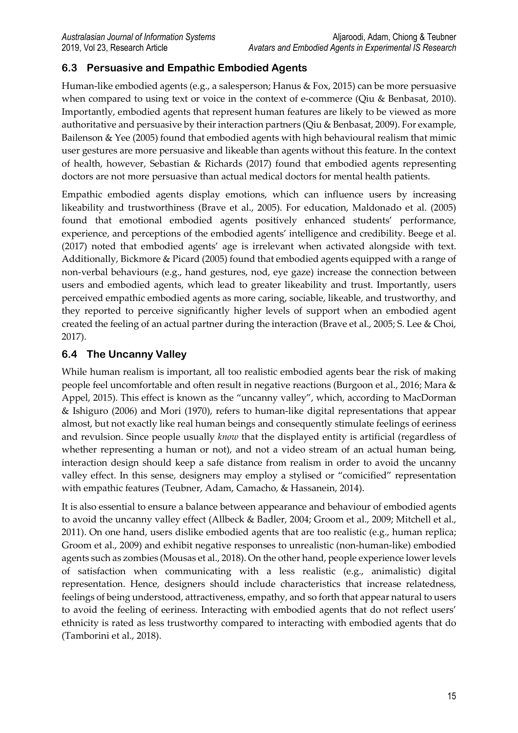## **6.3 Persuasive and Empathic Embodied Agents**

Human-like embodied agents (e.g., a salesperson; Hanus & Fox, 2015) can be more persuasive when compared to using text or voice in the context of e-commerce (Qiu & Benbasat, 2010). Importantly, embodied agents that represent human features are likely to be viewed as more authoritative and persuasive by their interaction partners (Qiu & Benbasat, 2009). For example, Bailenson & Yee (2005) found that embodied agents with high behavioural realism that mimic user gestures are more persuasive and likeable than agents without this feature. In the context of health, however, Sebastian & Richards (2017) found that embodied agents representing doctors are not more persuasive than actual medical doctors for mental health patients.

Empathic embodied agents display emotions, which can influence users by increasing likeability and trustworthiness (Brave et al., 2005). For education, Maldonado et al. (2005) found that emotional embodied agents positively enhanced students' performance, experience, and perceptions of the embodied agents' intelligence and credibility. Beege et al. (2017) noted that embodied agents' age is irrelevant when activated alongside with text. Additionally, Bickmore & Picard (2005) found that embodied agents equipped with a range of non-verbal behaviours (e.g., hand gestures, nod, eye gaze) increase the connection between users and embodied agents, which lead to greater likeability and trust. Importantly, users perceived empathic embodied agents as more caring, sociable, likeable, and trustworthy, and they reported to perceive significantly higher levels of support when an embodied agent created the feeling of an actual partner during the interaction (Brave et al., 2005; S. Lee & Choi, 2017).

### **6.4 The Uncanny Valley**

While human realism is important, all too realistic embodied agents bear the risk of making people feel uncomfortable and often result in negative reactions (Burgoon et al., 2016; Mara & Appel, 2015). This effect is known as the "uncanny valley", which, according to MacDorman & Ishiguro (2006) and Mori (1970), refers to human-like digital representations that appear almost, but not exactly like real human beings and consequently stimulate feelings of eeriness and revulsion. Since people usually *know* that the displayed entity is artificial (regardless of whether representing a human or not), and not a video stream of an actual human being, interaction design should keep a safe distance from realism in order to avoid the uncanny valley effect. In this sense, designers may employ a stylised or "comicified" representation with empathic features (Teubner, Adam, Camacho, & Hassanein, 2014).

It is also essential to ensure a balance between appearance and behaviour of embodied agents to avoid the uncanny valley effect (Allbeck & Badler, 2004; Groom et al., 2009; Mitchell et al., 2011). On one hand, users dislike embodied agents that are too realistic (e.g., human replica; Groom et al., 2009) and exhibit negative responses to unrealistic (non-human-like) embodied agents such as zombies (Mousas et al., 2018). On the other hand, people experience lower levels of satisfaction when communicating with a less realistic (e.g., animalistic) digital representation. Hence, designers should include characteristics that increase relatedness, feelings of being understood, attractiveness, empathy, and so forth that appear natural to users to avoid the feeling of eeriness. Interacting with embodied agents that do not reflect users' ethnicity is rated as less trustworthy compared to interacting with embodied agents that do (Tamborini et al., 2018).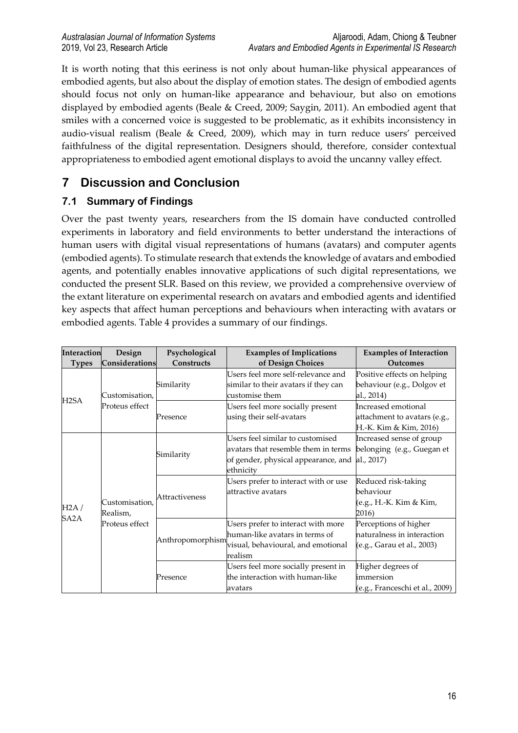It is worth noting that this eeriness is not only about human-like physical appearances of embodied agents, but also about the display of emotion states. The design of embodied agents should focus not only on human-like appearance and behaviour, but also on emotions displayed by embodied agents (Beale & Creed, 2009; Saygin, 2011). An embodied agent that smiles with a concerned voice is suggested to be problematic, as it exhibits inconsistency in audio-visual realism (Beale & Creed, 2009), which may in turn reduce users' perceived faithfulness of the digital representation. Designers should, therefore, consider contextual appropriateness to embodied agent emotional displays to avoid the uncanny valley effect.

# **7 Discussion and Conclusion**

# **7.1 Summary of Findings**

Over the past twenty years, researchers from the IS domain have conducted controlled experiments in laboratory and field environments to better understand the interactions of human users with digital visual representations of humans (avatars) and computer agents (embodied agents). To stimulate research that extends the knowledge of avatars and embodied agents, and potentially enables innovative applications of such digital representations, we conducted the present SLR. Based on this review, we provided a comprehensive overview of the extant literature on experimental research on avatars and embodied agents and identified key aspects that affect human perceptions and behaviours when interacting with avatars or embodied agents. Table 4 provides a summary of our findings.

| <b>Interaction</b> | Design                                       | Psychological    | <b>Examples of Implications</b>                                                                                             | <b>Examples of Interaction</b>                                                    |
|--------------------|----------------------------------------------|------------------|-----------------------------------------------------------------------------------------------------------------------------|-----------------------------------------------------------------------------------|
| <b>Types</b>       | Considerations                               | Constructs       | of Design Choices                                                                                                           | Outcomes                                                                          |
|                    | Customisation,                               | Similarity       | Users feel more self-relevance and<br>similar to their avatars if they can<br>customise them                                | Positive effects on helping<br>behaviour (e.g., Dolgov et<br>al., 2014)           |
| H2SA               | Proteus effect                               | Presence         | Users feel more socially present<br>using their self-avatars                                                                | Increased emotional<br>attachment to avatars (e.g.,<br>H.-K. Kim & Kim, 2016)     |
| H2A /<br>SA2A      | Customisation,<br>Realism,<br>Proteus effect | Similarity       | Users feel similar to customised<br>avatars that resemble them in terms<br>of gender, physical appearance, and<br>ethnicity | Increased sense of group<br>belonging (e.g., Guegan et<br>al., 2017)              |
|                    |                                              | Attractiveness   | Users prefer to interact with or use<br>attractive avatars                                                                  | Reduced risk-taking<br>behaviour<br>(e.g., H.-K. Kim & Kim,<br>2016)              |
|                    |                                              | Anthropomorphism | Users prefer to interact with more<br>human-like avatars in terms of<br>visual, behavioural, and emotional<br>realism       | Perceptions of higher<br>naturalness in interaction<br>(e.g., Garau et al., 2003) |
|                    |                                              | Presence         | Users feel more socially present in<br>the interaction with human-like<br>avatars                                           | Higher degrees of<br>immersion<br>(e.g., Franceschi et al., 2009)                 |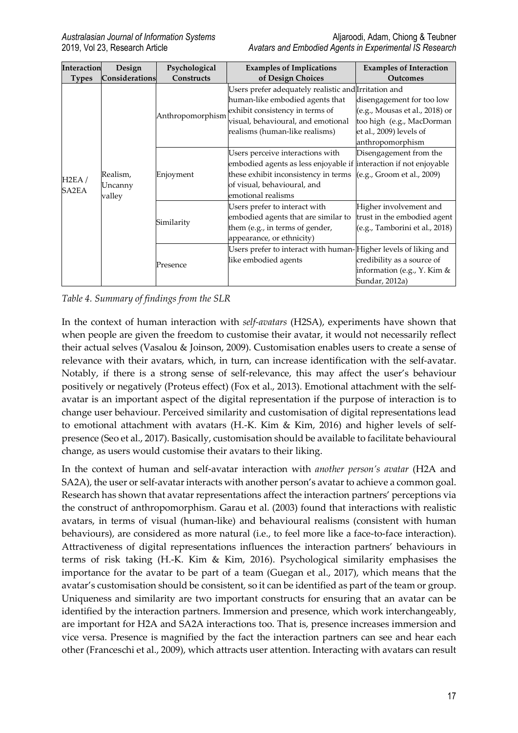| <b>Interaction</b> | Design         | Psychological    | <b>Examples of Implications</b>                                   | <b>Examples of Interaction</b> |
|--------------------|----------------|------------------|-------------------------------------------------------------------|--------------------------------|
| <b>Types</b>       | Considerations | Constructs       | of Design Choices                                                 | <b>Outcomes</b>                |
|                    |                |                  | Users prefer adequately realistic and Irritation and              |                                |
|                    |                |                  | human-like embodied agents that                                   | disengagement for too low      |
|                    |                | Anthropomorphism | exhibit consistency in terms of                                   | (e.g., Mousas et al., 2018) or |
|                    |                |                  | visual, behavioural, and emotional                                | too high (e.g., MacDorman      |
|                    |                |                  | realisms (human-like realisms)                                    | et al., 2009) levels of        |
|                    |                |                  |                                                                   | anthropomorphism               |
|                    |                | Enjoyment        | Users perceive interactions with                                  | Disengagement from the         |
|                    |                |                  | embodied agents as less enjoyable if interaction if not enjoyable |                                |
|                    | Realism,       |                  | these exhibit inconsistency in terms                              | (e.g., Groom et al., 2009)     |
| H2EA/<br>SA2EA     | Uncanny        |                  | of visual, behavioural, and                                       |                                |
|                    | valley         |                  | emotional realisms                                                |                                |
|                    |                | Similarity       | Users prefer to interact with                                     | Higher involvement and         |
|                    |                |                  | embodied agents that are similar to                               | trust in the embodied agent    |
|                    |                |                  | them (e.g., in terms of gender,                                   | (e.g., Tamborini et al., 2018) |
|                    |                |                  | appearance, or ethnicity)                                         |                                |
|                    |                |                  | Users prefer to interact with human-Higher levels of liking and   |                                |
|                    |                | Presence         | like embodied agents                                              | credibility as a source of     |
|                    |                |                  |                                                                   | information (e.g., Y. Kim &    |
|                    |                |                  |                                                                   | Sundar, 2012a)                 |

*Table 4. Summary of findings from the SLR*

In the context of human interaction with *self-avatars* (H2SA), experiments have shown that when people are given the freedom to customise their avatar, it would not necessarily reflect their actual selves (Vasalou & Joinson, 2009). Customisation enables users to create a sense of relevance with their avatars, which, in turn, can increase identification with the self-avatar. Notably, if there is a strong sense of self-relevance, this may affect the user's behaviour positively or negatively (Proteus effect) (Fox et al., 2013). Emotional attachment with the selfavatar is an important aspect of the digital representation if the purpose of interaction is to change user behaviour. Perceived similarity and customisation of digital representations lead to emotional attachment with avatars (H.-K. Kim & Kim, 2016) and higher levels of selfpresence (Seo et al., 2017). Basically, customisation should be available to facilitate behavioural change, as users would customise their avatars to their liking.

In the context of human and self-avatar interaction with *another person's avatar* (H2A and SA2A), the user or self-avatar interacts with another person's avatar to achieve a common goal. Research has shown that avatar representations affect the interaction partners' perceptions via the construct of anthropomorphism. Garau et al. (2003) found that interactions with realistic avatars, in terms of visual (human-like) and behavioural realisms (consistent with human behaviours), are considered as more natural (i.e., to feel more like a face-to-face interaction). Attractiveness of digital representations influences the interaction partners' behaviours in terms of risk taking (H.-K. Kim & Kim, 2016). Psychological similarity emphasises the importance for the avatar to be part of a team (Guegan et al., 2017), which means that the avatar's customisation should be consistent, so it can be identified as part of the team or group. Uniqueness and similarity are two important constructs for ensuring that an avatar can be identified by the interaction partners. Immersion and presence, which work interchangeably, are important for H2A and SA2A interactions too. That is, presence increases immersion and vice versa. Presence is magnified by the fact the interaction partners can see and hear each other (Franceschi et al., 2009), which attracts user attention. Interacting with avatars can result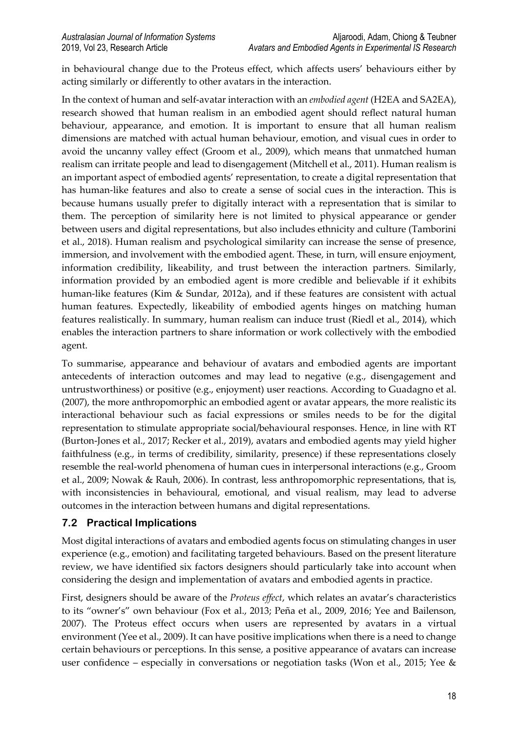in behavioural change due to the Proteus effect, which affects users' behaviours either by acting similarly or differently to other avatars in the interaction.

In the context of human and self-avatar interaction with an *embodied agent* (H2EA and SA2EA), research showed that human realism in an embodied agent should reflect natural human behaviour, appearance, and emotion. It is important to ensure that all human realism dimensions are matched with actual human behaviour, emotion, and visual cues in order to avoid the uncanny valley effect (Groom et al., 2009), which means that unmatched human realism can irritate people and lead to disengagement (Mitchell et al., 2011). Human realism is an important aspect of embodied agents' representation, to create a digital representation that has human-like features and also to create a sense of social cues in the interaction. This is because humans usually prefer to digitally interact with a representation that is similar to them. The perception of similarity here is not limited to physical appearance or gender between users and digital representations, but also includes ethnicity and culture (Tamborini et al., 2018). Human realism and psychological similarity can increase the sense of presence, immersion, and involvement with the embodied agent. These, in turn, will ensure enjoyment, information credibility, likeability, and trust between the interaction partners. Similarly, information provided by an embodied agent is more credible and believable if it exhibits human-like features (Kim & Sundar, 2012a), and if these features are consistent with actual human features. Expectedly, likeability of embodied agents hinges on matching human features realistically. In summary, human realism can induce trust (Riedl et al., 2014), which enables the interaction partners to share information or work collectively with the embodied agent.

To summarise, appearance and behaviour of avatars and embodied agents are important antecedents of interaction outcomes and may lead to negative (e.g., disengagement and untrustworthiness) or positive (e.g., enjoyment) user reactions. According to Guadagno et al. (2007), the more anthropomorphic an embodied agent or avatar appears, the more realistic its interactional behaviour such as facial expressions or smiles needs to be for the digital representation to stimulate appropriate social/behavioural responses. Hence, in line with RT (Burton-Jones et al., 2017; Recker et al., 2019), avatars and embodied agents may yield higher faithfulness (e.g., in terms of credibility, similarity, presence) if these representations closely resemble the real-world phenomena of human cues in interpersonal interactions (e.g., Groom et al., 2009; Nowak & Rauh, 2006). In contrast, less anthropomorphic representations, that is, with inconsistencies in behavioural, emotional, and visual realism, may lead to adverse outcomes in the interaction between humans and digital representations.

#### **7.2 Practical Implications**

Most digital interactions of avatars and embodied agents focus on stimulating changes in user experience (e.g., emotion) and facilitating targeted behaviours. Based on the present literature review, we have identified six factors designers should particularly take into account when considering the design and implementation of avatars and embodied agents in practice.

First, designers should be aware of the *Proteus effect*, which relates an avatar's characteristics to its "owner's" own behaviour (Fox et al., 2013; Peña et al., 2009, 2016; Yee and Bailenson, 2007). The Proteus effect occurs when users are represented by avatars in a virtual environment (Yee et al., 2009). It can have positive implications when there is a need to change certain behaviours or perceptions. In this sense, a positive appearance of avatars can increase user confidence – especially in conversations or negotiation tasks (Won et al., 2015; Yee  $\&$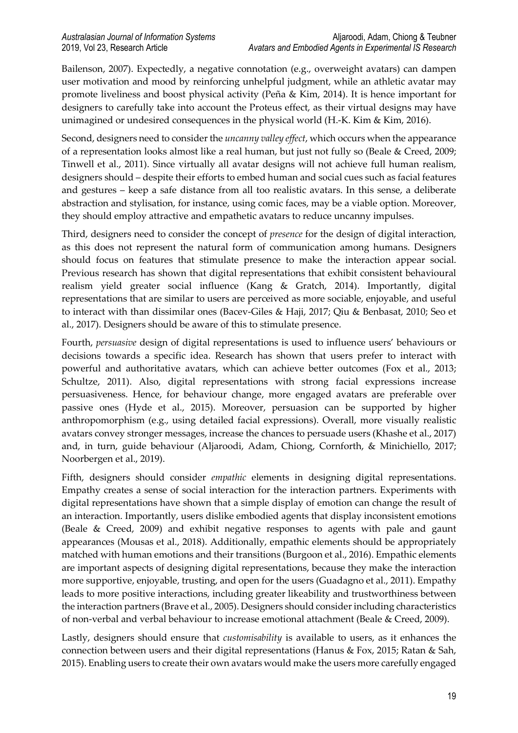Bailenson, 2007). Expectedly, a negative connotation (e.g., overweight avatars) can dampen user motivation and mood by reinforcing unhelpful judgment, while an athletic avatar may promote liveliness and boost physical activity (Peña & Kim, 2014). It is hence important for designers to carefully take into account the Proteus effect, as their virtual designs may have unimagined or undesired consequences in the physical world (H.-K. Kim & Kim, 2016).

Second, designers need to consider the *uncanny valley effect*, which occurs when the appearance of a representation looks almost like a real human, but just not fully so (Beale & Creed, 2009; Tinwell et al., 2011). Since virtually all avatar designs will not achieve full human realism, designers should – despite their efforts to embed human and social cues such as facial features and gestures – keep a safe distance from all too realistic avatars. In this sense, a deliberate abstraction and stylisation, for instance, using comic faces, may be a viable option. Moreover, they should employ attractive and empathetic avatars to reduce uncanny impulses.

Third, designers need to consider the concept of *presence* for the design of digital interaction, as this does not represent the natural form of communication among humans. Designers should focus on features that stimulate presence to make the interaction appear social. Previous research has shown that digital representations that exhibit consistent behavioural realism yield greater social influence (Kang & Gratch, 2014). Importantly, digital representations that are similar to users are perceived as more sociable, enjoyable, and useful to interact with than dissimilar ones (Bacev-Giles & Haji, 2017; Qiu & Benbasat, 2010; Seo et al., 2017). Designers should be aware of this to stimulate presence.

Fourth, *persuasive* design of digital representations is used to influence users' behaviours or decisions towards a specific idea. Research has shown that users prefer to interact with powerful and authoritative avatars, which can achieve better outcomes (Fox et al., 2013; Schultze, 2011). Also, digital representations with strong facial expressions increase persuasiveness. Hence, for behaviour change, more engaged avatars are preferable over passive ones (Hyde et al., 2015). Moreover, persuasion can be supported by higher anthropomorphism (e.g., using detailed facial expressions). Overall, more visually realistic avatars convey stronger messages, increase the chances to persuade users (Khashe et al., 2017) and, in turn, guide behaviour (Aljaroodi, Adam, Chiong, Cornforth, & Minichiello, 2017; Noorbergen et al., 2019).

Fifth, designers should consider *empathic* elements in designing digital representations. Empathy creates a sense of social interaction for the interaction partners. Experiments with digital representations have shown that a simple display of emotion can change the result of an interaction. Importantly, users dislike embodied agents that display inconsistent emotions (Beale & Creed, 2009) and exhibit negative responses to agents with pale and gaunt appearances (Mousas et al., 2018). Additionally, empathic elements should be appropriately matched with human emotions and their transitions (Burgoon et al., 2016). Empathic elements are important aspects of designing digital representations, because they make the interaction more supportive, enjoyable, trusting, and open for the users (Guadagno et al., 2011). Empathy leads to more positive interactions, including greater likeability and trustworthiness between the interaction partners (Brave et al., 2005). Designers should consider including characteristics of non-verbal and verbal behaviour to increase emotional attachment (Beale & Creed, 2009).

Lastly, designers should ensure that *customisability* is available to users, as it enhances the connection between users and their digital representations (Hanus & Fox, 2015; Ratan & Sah, 2015). Enabling users to create their own avatars would make the users more carefully engaged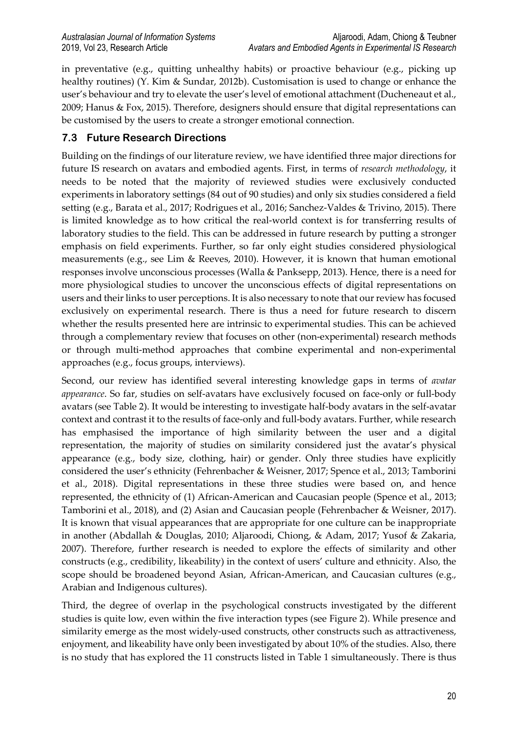in preventative (e.g., quitting unhealthy habits) or proactive behaviour (e.g., picking up healthy routines) (Y. Kim & Sundar, 2012b). Customisation is used to change or enhance the user's behaviour and try to elevate the user's level of emotional attachment (Ducheneaut et al., 2009; Hanus & Fox, 2015). Therefore, designers should ensure that digital representations can be customised by the users to create a stronger emotional connection.

#### **7.3 Future Research Directions**

Building on the findings of our literature review, we have identified three major directions for future IS research on avatars and embodied agents. First, in terms of *research methodology*, it needs to be noted that the majority of reviewed studies were exclusively conducted experiments in laboratory settings (84 out of 90 studies) and only six studies considered a field setting (e.g., Barata et al., 2017; Rodrigues et al., 2016; Sanchez-Valdes & Trivino, 2015). There is limited knowledge as to how critical the real-world context is for transferring results of laboratory studies to the field. This can be addressed in future research by putting a stronger emphasis on field experiments. Further, so far only eight studies considered physiological measurements (e.g., see Lim & Reeves, 2010). However, it is known that human emotional responses involve unconscious processes (Walla & Panksepp, 2013). Hence, there is a need for more physiological studies to uncover the unconscious effects of digital representations on users and their links to user perceptions. It is also necessary to note that our review has focused exclusively on experimental research. There is thus a need for future research to discern whether the results presented here are intrinsic to experimental studies. This can be achieved through a complementary review that focuses on other (non-experimental) research methods or through multi-method approaches that combine experimental and non-experimental approaches (e.g., focus groups, interviews).

Second, our review has identified several interesting knowledge gaps in terms of *avatar appearance*. So far, studies on self-avatars have exclusively focused on face-only or full-body avatars (see Table 2). It would be interesting to investigate half-body avatars in the self-avatar context and contrast it to the results of face-only and full-body avatars. Further, while research has emphasised the importance of high similarity between the user and a digital representation, the majority of studies on similarity considered just the avatar's physical appearance (e.g., body size, clothing, hair) or gender. Only three studies have explicitly considered the user's ethnicity (Fehrenbacher & Weisner, 2017; Spence et al., 2013; Tamborini et al., 2018). Digital representations in these three studies were based on, and hence represented, the ethnicity of (1) African-American and Caucasian people (Spence et al., 2013; Tamborini et al., 2018), and (2) Asian and Caucasian people (Fehrenbacher & Weisner, 2017). It is known that visual appearances that are appropriate for one culture can be inappropriate in another (Abdallah & Douglas, 2010; Aljaroodi, Chiong, & Adam, 2017; Yusof & Zakaria, 2007). Therefore, further research is needed to explore the effects of similarity and other constructs (e.g., credibility, likeability) in the context of users' culture and ethnicity. Also, the scope should be broadened beyond Asian, African-American, and Caucasian cultures (e.g., Arabian and Indigenous cultures).

Third, the degree of overlap in the psychological constructs investigated by the different studies is quite low, even within the five interaction types (see Figure 2). While presence and similarity emerge as the most widely-used constructs, other constructs such as attractiveness, enjoyment, and likeability have only been investigated by about 10% of the studies. Also, there is no study that has explored the 11 constructs listed in Table 1 simultaneously. There is thus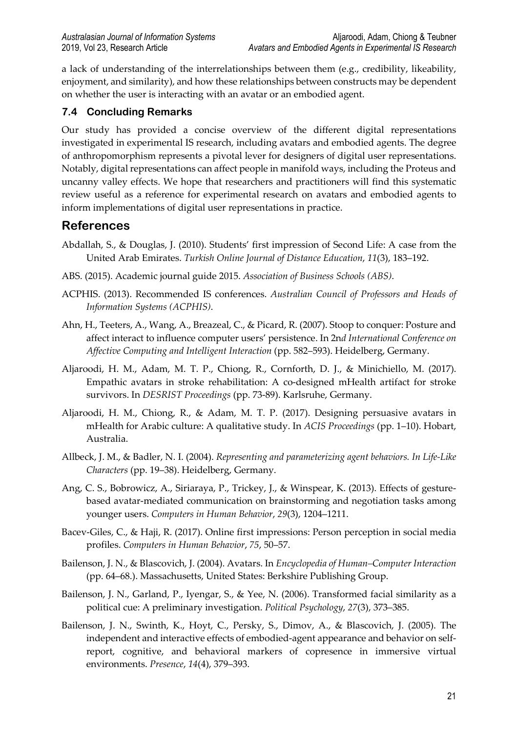a lack of understanding of the interrelationships between them (e.g., credibility, likeability, enjoyment, and similarity), and how these relationships between constructs may be dependent on whether the user is interacting with an avatar or an embodied agent.

### **7.4 Concluding Remarks**

Our study has provided a concise overview of the different digital representations investigated in experimental IS research, including avatars and embodied agents. The degree of anthropomorphism represents a pivotal lever for designers of digital user representations. Notably, digital representations can affect people in manifold ways, including the Proteus and uncanny valley effects. We hope that researchers and practitioners will find this systematic review useful as a reference for experimental research on avatars and embodied agents to inform implementations of digital user representations in practice.

## **References**

- Abdallah, S., & Douglas, J. (2010). Students' first impression of Second Life: A case from the United Arab Emirates. *Turkish Online Journal of Distance Education*, *11*(3), 183–192.
- ABS. (2015). Academic journal guide 2015. *Association of Business Schools (ABS)*.
- ACPHIS. (2013). Recommended IS conferences. *Australian Council of Professors and Heads of Information Systems (ACPHIS)*.
- Ahn, H., Teeters, A., Wang, A., Breazeal, C., & Picard, R. (2007). Stoop to conquer: Posture and affect interact to influence computer users' persistence. In 2n*d International Conference on Affective Computing and Intelligent Interaction* (pp. 582–593). Heidelberg, Germany.
- Aljaroodi, H. M., Adam, M. T. P., Chiong, R., Cornforth, D. J., & Minichiello, M. (2017). Empathic avatars in stroke rehabilitation: A co-designed mHealth artifact for stroke survivors. In *DESRIST Proceedings* (pp. 73-89). Karlsruhe, Germany.
- Aljaroodi, H. M., Chiong, R., & Adam, M. T. P. (2017). Designing persuasive avatars in mHealth for Arabic culture: A qualitative study. In *ACIS Proceedings* (pp. 1–10). Hobart, Australia.
- Allbeck, J. M., & Badler, N. I. (2004). *Representing and parameterizing agent behaviors. In Life-Like Characters* (pp. 19–38). Heidelberg, Germany.
- Ang, C. S., Bobrowicz, A., Siriaraya, P., Trickey, J., & Winspear, K. (2013). Effects of gesturebased avatar-mediated communication on brainstorming and negotiation tasks among younger users. *Computers in Human Behavior*, *29*(3), 1204–1211.
- Bacev-Giles, C., & Haji, R. (2017). Online first impressions: Person perception in social media profiles. *Computers in Human Behavior*, *75*, 50–57.
- Bailenson, J. N., & Blascovich, J. (2004). Avatars. In *Encyclopedia of Human–Computer Interaction* (pp. 64–68.). Massachusetts, United States: Berkshire Publishing Group.
- Bailenson, J. N., Garland, P., Iyengar, S., & Yee, N. (2006). Transformed facial similarity as a political cue: A preliminary investigation. *Political Psychology*, *27*(3), 373–385.
- Bailenson, J. N., Swinth, K., Hoyt, C., Persky, S., Dimov, A., & Blascovich, J. (2005). The independent and interactive effects of embodied-agent appearance and behavior on selfreport, cognitive, and behavioral markers of copresence in immersive virtual environments. *Presence*, *14*(4), 379–393.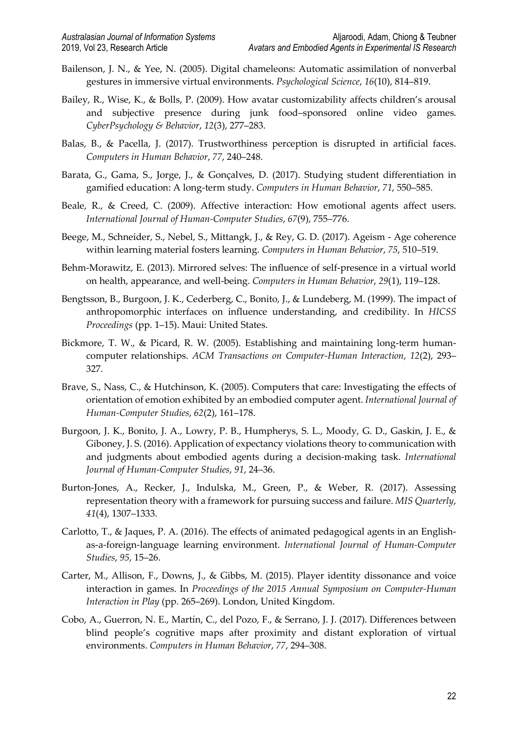- Bailenson, J. N., & Yee, N. (2005). Digital chameleons: Automatic assimilation of nonverbal gestures in immersive virtual environments. *Psychological Science*, *16*(10), 814–819.
- Bailey, R., Wise, K., & Bolls, P. (2009). How avatar customizability affects children's arousal and subjective presence during junk food–sponsored online video games. *CyberPsychology & Behavior*, *12*(3), 277–283.
- Balas, B., & Pacella, J. (2017). Trustworthiness perception is disrupted in artificial faces. *Computers in Human Behavior*, *77*, 240–248.
- Barata, G., Gama, S., Jorge, J., & Gonçalves, D. (2017). Studying student differentiation in gamified education: A long-term study. *Computers in Human Behavior*, *71*, 550–585.
- Beale, R., & Creed, C. (2009). Affective interaction: How emotional agents affect users. *International Journal of Human-Computer Studies*, *67*(9), 755–776.
- Beege, M., Schneider, S., Nebel, S., Mittangk, J., & Rey, G. D. (2017). Ageism Age coherence within learning material fosters learning. *Computers in Human Behavior*, *75*, 510–519.
- Behm-Morawitz, E. (2013). Mirrored selves: The influence of self-presence in a virtual world on health, appearance, and well-being. *Computers in Human Behavior*, *29*(1), 119–128.
- Bengtsson, B., Burgoon, J. K., Cederberg, C., Bonito, J., & Lundeberg, M. (1999). The impact of anthropomorphic interfaces on influence understanding, and credibility. In *HICSS Proceedings* (pp. 1–15). Maui: United States.
- Bickmore, T. W., & Picard, R. W. (2005). Establishing and maintaining long-term humancomputer relationships. *ACM Transactions on Computer-Human Interaction*, *12*(2), 293– 327.
- Brave, S., Nass, C., & Hutchinson, K. (2005). Computers that care: Investigating the effects of orientation of emotion exhibited by an embodied computer agent. *International Journal of Human-Computer Studies*, *62*(2), 161–178.
- Burgoon, J. K., Bonito, J. A., Lowry, P. B., Humpherys, S. L., Moody, G. D., Gaskin, J. E., & Giboney, J. S. (2016). Application of expectancy violations theory to communication with and judgments about embodied agents during a decision-making task. *International Journal of Human-Computer Studies*, *91*, 24–36.
- Burton-Jones, A., Recker, J., Indulska, M., Green, P., & Weber, R. (2017). Assessing representation theory with a framework for pursuing success and failure. *MIS Quarterly*, *41*(4), 1307–1333.
- Carlotto, T., & Jaques, P. A. (2016). The effects of animated pedagogical agents in an Englishas-a-foreign-language learning environment. *International Journal of Human-Computer Studies*, *95*, 15–26.
- Carter, M., Allison, F., Downs, J., & Gibbs, M. (2015). Player identity dissonance and voice interaction in games. In *Proceedings of the 2015 Annual Symposium on Computer-Human Interaction in Play* (pp. 265–269). London, United Kingdom.
- Cobo, A., Guerron, N. E., Martín, C., del Pozo, F., & Serrano, J. J. (2017). Differences between blind people's cognitive maps after proximity and distant exploration of virtual environments. *Computers in Human Behavior*, *77*, 294–308.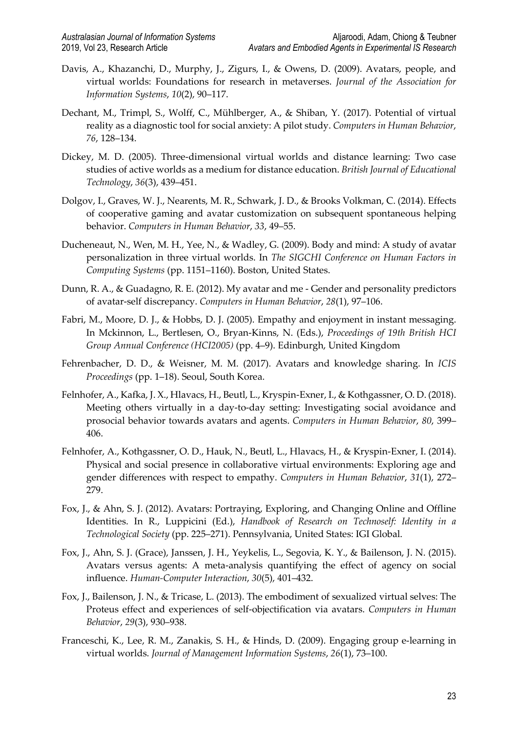- Davis, A., Khazanchi, D., Murphy, J., Zigurs, I., & Owens, D. (2009). Avatars, people, and virtual worlds: Foundations for research in metaverses. *Journal of the Association for Information Systems*, *10*(2), 90–117.
- Dechant, M., Trimpl, S., Wolff, C., Mühlberger, A., & Shiban, Y. (2017). Potential of virtual reality as a diagnostic tool for social anxiety: A pilot study. *Computers in Human Behavior*, *76*, 128–134.
- Dickey, M. D. (2005). Three-dimensional virtual worlds and distance learning: Two case studies of active worlds as a medium for distance education. *British Journal of Educational Technology*, *36*(3), 439–451.
- Dolgov, I., Graves, W. J., Nearents, M. R., Schwark, J. D., & Brooks Volkman, C. (2014). Effects of cooperative gaming and avatar customization on subsequent spontaneous helping behavior. *Computers in Human Behavior*, *33*, 49–55.
- Ducheneaut, N., Wen, M. H., Yee, N., & Wadley, G. (2009). Body and mind: A study of avatar personalization in three virtual worlds. In *The SIGCHI Conference on Human Factors in Computing Systems* (pp. 1151–1160). Boston, United States.
- Dunn, R. A., & Guadagno, R. E. (2012). My avatar and me Gender and personality predictors of avatar-self discrepancy. *Computers in Human Behavior*, *28*(1), 97–106.
- Fabri, M., Moore, D. J., & Hobbs, D. J. (2005). Empathy and enjoyment in instant messaging. In Mckinnon, L., Bertlesen, O., Bryan-Kinns, N. (Eds.), *Proceedings of 19th British HCI Group Annual Conference (HCI2005)* (pp. 4–9). Edinburgh, United Kingdom
- Fehrenbacher, D. D., & Weisner, M. M. (2017). Avatars and knowledge sharing. In *ICIS Proceedings* (pp. 1–18). Seoul, South Korea.
- Felnhofer, A., Kafka, J. X., Hlavacs, H., Beutl, L., Kryspin-Exner, I., & Kothgassner, O. D. (2018). Meeting others virtually in a day-to-day setting: Investigating social avoidance and prosocial behavior towards avatars and agents. *Computers in Human Behavior*, *80*, 399– 406.
- Felnhofer, A., Kothgassner, O. D., Hauk, N., Beutl, L., Hlavacs, H., & Kryspin-Exner, I. (2014). Physical and social presence in collaborative virtual environments: Exploring age and gender differences with respect to empathy. *Computers in Human Behavior*, *31*(1), 272– 279.
- Fox, J., & Ahn, S. J. (2012). Avatars: Portraying, Exploring, and Changing Online and Offline Identities. In R., Luppicini (Ed.), *Handbook of Research on Technoself: Identity in a Technological Society* (pp. 225–271). Pennsylvania, United States: IGI Global.
- Fox, J., Ahn, S. J. (Grace), Janssen, J. H., Yeykelis, L., Segovia, K. Y., & Bailenson, J. N. (2015). Avatars versus agents: A meta-analysis quantifying the effect of agency on social influence. *Human-Computer Interaction*, *30*(5), 401–432.
- Fox, J., Bailenson, J. N., & Tricase, L. (2013). The embodiment of sexualized virtual selves: The Proteus effect and experiences of self-objectification via avatars. *Computers in Human Behavior*, *29*(3), 930–938.
- Franceschi, K., Lee, R. M., Zanakis, S. H., & Hinds, D. (2009). Engaging group e-learning in virtual worlds. *Journal of Management Information Systems*, *26*(1), 73–100.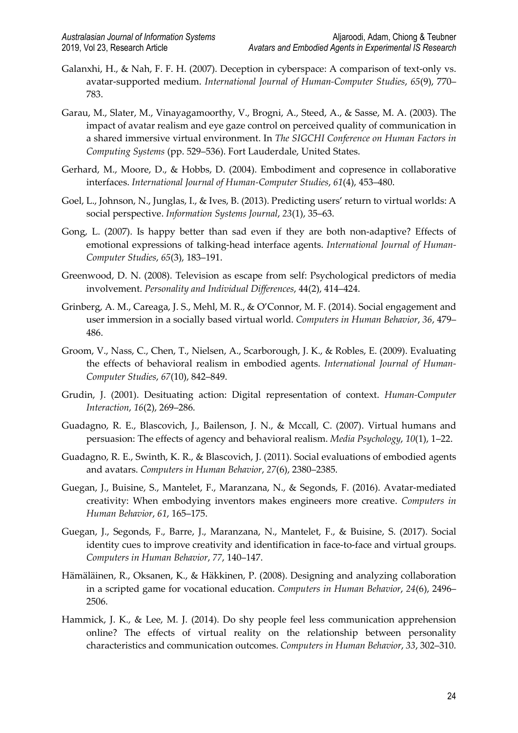- Galanxhi, H., & Nah, F. F. H. (2007). Deception in cyberspace: A comparison of text-only vs. avatar-supported medium. *International Journal of Human-Computer Studies*, *65*(9), 770– 783.
- Garau, M., Slater, M., Vinayagamoorthy, V., Brogni, A., Steed, A., & Sasse, M. A. (2003). The impact of avatar realism and eye gaze control on perceived quality of communication in a shared immersive virtual environment. In *The SIGCHI Conference on Human Factors in Computing Systems* (pp. 529–536). Fort Lauderdale, United States.
- Gerhard, M., Moore, D., & Hobbs, D. (2004). Embodiment and copresence in collaborative interfaces. *International Journal of Human-Computer Studies*, *61*(4), 453–480.
- Goel, L., Johnson, N., Junglas, I., & Ives, B. (2013). Predicting users' return to virtual worlds: A social perspective. *Information Systems Journal*, *23*(1), 35–63.
- Gong, L. (2007). Is happy better than sad even if they are both non-adaptive? Effects of emotional expressions of talking-head interface agents. *International Journal of Human-Computer Studies*, *65*(3), 183–191.
- Greenwood, D. N. (2008). Television as escape from self: Psychological predictors of media involvement. *Personality and Individual Differences*, 44(2), 414–424.
- Grinberg, A. M., Careaga, J. S., Mehl, M. R., & O'Connor, M. F. (2014). Social engagement and user immersion in a socially based virtual world. *Computers in Human Behavior*, *36*, 479– 486.
- Groom, V., Nass, C., Chen, T., Nielsen, A., Scarborough, J. K., & Robles, E. (2009). Evaluating the effects of behavioral realism in embodied agents. *International Journal of Human-Computer Studies*, *67*(10), 842–849.
- Grudin, J. (2001). Desituating action: Digital representation of context. *Human-Computer Interaction*, *16*(2), 269–286.
- Guadagno, R. E., Blascovich, J., Bailenson, J. N., & Mccall, C. (2007). Virtual humans and persuasion: The effects of agency and behavioral realism. *Media Psychology*, *10*(1), 1–22.
- Guadagno, R. E., Swinth, K. R., & Blascovich, J. (2011). Social evaluations of embodied agents and avatars. *Computers in Human Behavior*, *27*(6), 2380–2385.
- Guegan, J., Buisine, S., Mantelet, F., Maranzana, N., & Segonds, F. (2016). Avatar-mediated creativity: When embodying inventors makes engineers more creative. *Computers in Human Behavior*, *61*, 165–175.
- Guegan, J., Segonds, F., Barre, J., Maranzana, N., Mantelet, F., & Buisine, S. (2017). Social identity cues to improve creativity and identification in face-to-face and virtual groups. *Computers in Human Behavior*, *77*, 140–147.
- Hämäläinen, R., Oksanen, K., & Häkkinen, P. (2008). Designing and analyzing collaboration in a scripted game for vocational education. *Computers in Human Behavior*, *24*(6), 2496– 2506.
- Hammick, J. K., & Lee, M. J. (2014). Do shy people feel less communication apprehension online? The effects of virtual reality on the relationship between personality characteristics and communication outcomes. *Computers in Human Behavior*, *33*, 302–310.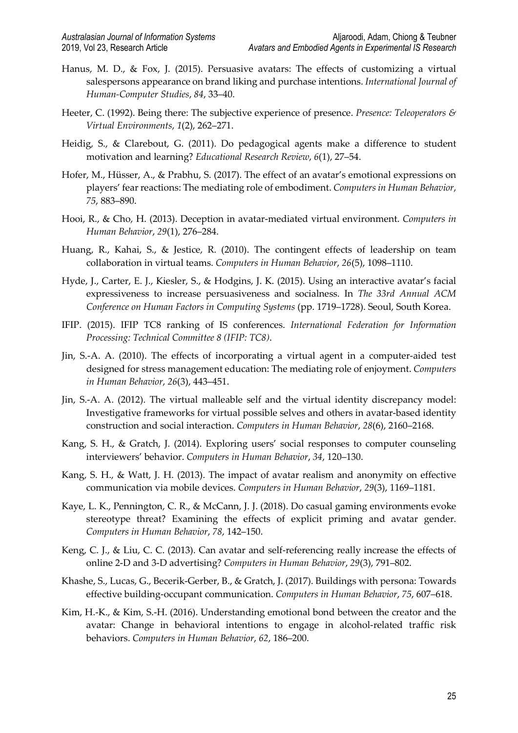- Hanus, M. D., & Fox, J. (2015). Persuasive avatars: The effects of customizing a virtual salespersons appearance on brand liking and purchase intentions. *International Journal of Human-Computer Studies*, *84*, 33–40.
- Heeter, C. (1992). Being there: The subjective experience of presence. *Presence: Teleoperators & Virtual Environments*, *1*(2), 262–271.
- Heidig, S., & Clarebout, G. (2011). Do pedagogical agents make a difference to student motivation and learning? *Educational Research Review*, *6*(1), 27–54.
- Hofer, M., Hüsser, A., & Prabhu, S. (2017). The effect of an avatar's emotional expressions on players' fear reactions: The mediating role of embodiment. *Computers in Human Behavior*, *75*, 883–890.
- Hooi, R., & Cho, H. (2013). Deception in avatar-mediated virtual environment. *Computers in Human Behavior*, *29*(1), 276–284.
- Huang, R., Kahai, S., & Jestice, R. (2010). The contingent effects of leadership on team collaboration in virtual teams. *Computers in Human Behavior*, *26*(5), 1098–1110.
- Hyde, J., Carter, E. J., Kiesler, S., & Hodgins, J. K. (2015). Using an interactive avatar's facial expressiveness to increase persuasiveness and socialness. In *The 33rd Annual ACM Conference on Human Factors in Computing Systems* (pp. 1719–1728). Seoul, South Korea.
- IFIP. (2015). IFIP TC8 ranking of IS conferences. *International Federation for Information Processing: Technical Committee 8 (IFIP: TC8)*.
- Jin, S.-A. A. (2010). The effects of incorporating a virtual agent in a computer-aided test designed for stress management education: The mediating role of enjoyment. *Computers in Human Behavior*, *26*(3), 443–451.
- Jin, S.-A. A. (2012). The virtual malleable self and the virtual identity discrepancy model: Investigative frameworks for virtual possible selves and others in avatar-based identity construction and social interaction. *Computers in Human Behavior*, *28*(6), 2160–2168.
- Kang, S. H., & Gratch, J. (2014). Exploring users' social responses to computer counseling interviewers' behavior. *Computers in Human Behavior*, *34*, 120–130.
- Kang, S. H., & Watt, J. H. (2013). The impact of avatar realism and anonymity on effective communication via mobile devices. *Computers in Human Behavior*, *29*(3), 1169–1181.
- Kaye, L. K., Pennington, C. R., & McCann, J. J. (2018). Do casual gaming environments evoke stereotype threat? Examining the effects of explicit priming and avatar gender. *Computers in Human Behavior*, *78*, 142–150.
- Keng, C. J., & Liu, C. C. (2013). Can avatar and self-referencing really increase the effects of online 2-D and 3-D advertising? *Computers in Human Behavior*, *29*(3), 791–802.
- Khashe, S., Lucas, G., Becerik-Gerber, B., & Gratch, J. (2017). Buildings with persona: Towards effective building-occupant communication. *Computers in Human Behavior*, *75*, 607–618.
- Kim, H.-K., & Kim, S.-H. (2016). Understanding emotional bond between the creator and the avatar: Change in behavioral intentions to engage in alcohol-related traffic risk behaviors. *Computers in Human Behavior*, *62*, 186–200.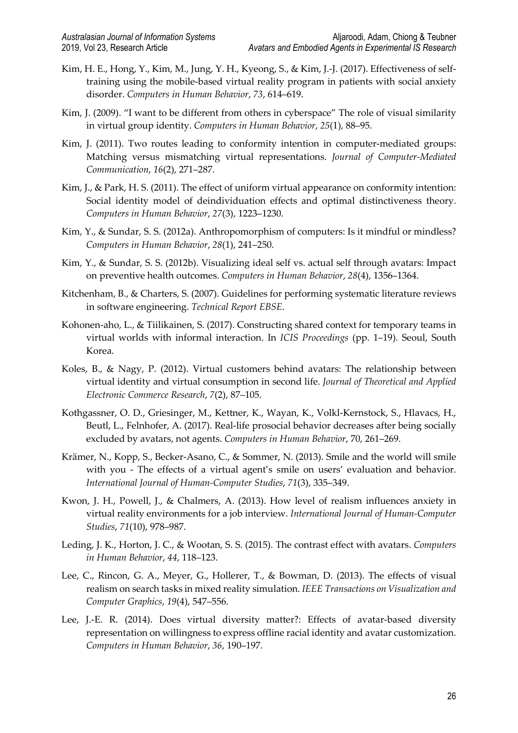- Kim, H. E., Hong, Y., Kim, M., Jung, Y. H., Kyeong, S., & Kim, J.-J. (2017). Effectiveness of selftraining using the mobile-based virtual reality program in patients with social anxiety disorder. *Computers in Human Behavior*, *73*, 614–619.
- Kim, J. (2009). "I want to be different from others in cyberspace" The role of visual similarity in virtual group identity. *Computers in Human Behavior*, *25*(1), 88–95.
- Kim, J. (2011). Two routes leading to conformity intention in computer-mediated groups: Matching versus mismatching virtual representations. *Journal of Computer-Mediated Communication*, *16*(2), 271–287.
- Kim, J., & Park, H. S. (2011). The effect of uniform virtual appearance on conformity intention: Social identity model of deindividuation effects and optimal distinctiveness theory. *Computers in Human Behavior*, *27*(3), 1223–1230.
- Kim, Y., & Sundar, S. S. (2012a). Anthropomorphism of computers: Is it mindful or mindless? *Computers in Human Behavior*, *28*(1), 241–250.
- Kim, Y., & Sundar, S. S. (2012b). Visualizing ideal self vs. actual self through avatars: Impact on preventive health outcomes. *Computers in Human Behavior*, *28*(4), 1356–1364.
- Kitchenham, B., & Charters, S. (2007). Guidelines for performing systematic literature reviews in software engineering. *Technical Report EBSE*.
- Kohonen-aho, L., & Tiilikainen, S. (2017). Constructing shared context for temporary teams in virtual worlds with informal interaction. In *ICIS Proceedings* (pp. 1–19). Seoul, South Korea.
- Koles, B., & Nagy, P. (2012). Virtual customers behind avatars: The relationship between virtual identity and virtual consumption in second life. *Journal of Theoretical and Applied Electronic Commerce Research*, *7*(2), 87–105.
- Kothgassner, O. D., Griesinger, M., Kettner, K., Wayan, K., Volkl-Kernstock, S., Hlavacs, H., Beutl, L., Felnhofer, A. (2017). Real-life prosocial behavior decreases after being socially excluded by avatars, not agents. *Computers in Human Behavior*, 70, 261–269.
- Krämer, N., Kopp, S., Becker-Asano, C., & Sommer, N. (2013). Smile and the world will smile with you - The effects of a virtual agent's smile on users' evaluation and behavior. *International Journal of Human-Computer Studies*, *71*(3), 335–349.
- Kwon, J. H., Powell, J., & Chalmers, A. (2013). How level of realism influences anxiety in virtual reality environments for a job interview. *International Journal of Human-Computer Studies*, *71*(10), 978–987.
- Leding, J. K., Horton, J. C., & Wootan, S. S. (2015). The contrast effect with avatars. *Computers in Human Behavior*, *44*, 118–123.
- Lee, C., Rincon, G. A., Meyer, G., Hollerer, T., & Bowman, D. (2013). The effects of visual realism on search tasks in mixed reality simulation. *IEEE Transactions on Visualization and Computer Graphics*, *19*(4), 547–556.
- Lee, J.-E. R. (2014). Does virtual diversity matter?: Effects of avatar-based diversity representation on willingness to express offline racial identity and avatar customization. *Computers in Human Behavior*, *36*, 190–197.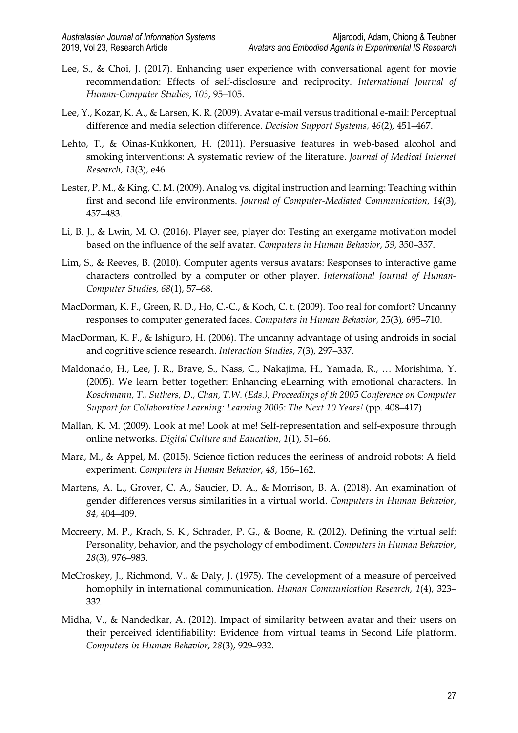- Lee, S., & Choi, J. (2017). Enhancing user experience with conversational agent for movie recommendation: Effects of self-disclosure and reciprocity. *International Journal of Human-Computer Studies*, *103*, 95–105.
- Lee, Y., Kozar, K. A., & Larsen, K. R. (2009). Avatar e-mail versus traditional e-mail: Perceptual difference and media selection difference. *Decision Support Systems*, *46*(2), 451–467.
- Lehto, T., & Oinas-Kukkonen, H. (2011). Persuasive features in web-based alcohol and smoking interventions: A systematic review of the literature. *Journal of Medical Internet Research*, *13*(3), e46.
- Lester, P. M., & King, C. M. (2009). Analog vs. digital instruction and learning: Teaching within first and second life environments. *Journal of Computer-Mediated Communication*, *14*(3), 457–483.
- Li, B. J., & Lwin, M. O. (2016). Player see, player do: Testing an exergame motivation model based on the influence of the self avatar. *Computers in Human Behavior*, *59*, 350–357.
- Lim, S., & Reeves, B. (2010). Computer agents versus avatars: Responses to interactive game characters controlled by a computer or other player. *International Journal of Human-Computer Studies*, *68*(1), 57–68.
- MacDorman, K. F., Green, R. D., Ho, C.-C., & Koch, C. t. (2009). Too real for comfort? Uncanny responses to computer generated faces. *Computers in Human Behavior*, *25*(3), 695–710.
- MacDorman, K. F., & Ishiguro, H. (2006). The uncanny advantage of using androids in social and cognitive science research. *Interaction Studies*, *7*(3), 297–337.
- Maldonado, H., Lee, J. R., Brave, S., Nass, C., Nakajima, H., Yamada, R., … Morishima, Y. (2005). We learn better together: Enhancing eLearning with emotional characters. In *Koschmann, T., Suthers, D., Chan, T.W. (Eds.), Proceedings of th 2005 Conference on Computer Support for Collaborative Learning: Learning 2005: The Next 10 Years!* (pp. 408–417).
- Mallan, K. M. (2009). Look at me! Look at me! Self-representation and self-exposure through online networks. *Digital Culture and Education*, *1*(1), 51–66.
- Mara, M., & Appel, M. (2015). Science fiction reduces the eeriness of android robots: A field experiment. *Computers in Human Behavior*, *48*, 156–162.
- Martens, A. L., Grover, C. A., Saucier, D. A., & Morrison, B. A. (2018). An examination of gender differences versus similarities in a virtual world. *Computers in Human Behavior*, *84*, 404–409.
- Mccreery, M. P., Krach, S. K., Schrader, P. G., & Boone, R. (2012). Defining the virtual self: Personality, behavior, and the psychology of embodiment. *Computers in Human Behavior*, *28*(3), 976–983.
- McCroskey, J., Richmond, V., & Daly, J. (1975). The development of a measure of perceived homophily in international communication. *Human Communication Research*, *1*(4), 323– 332.
- Midha, V., & Nandedkar, A. (2012). Impact of similarity between avatar and their users on their perceived identifiability: Evidence from virtual teams in Second Life platform. *Computers in Human Behavior*, *28*(3), 929–932.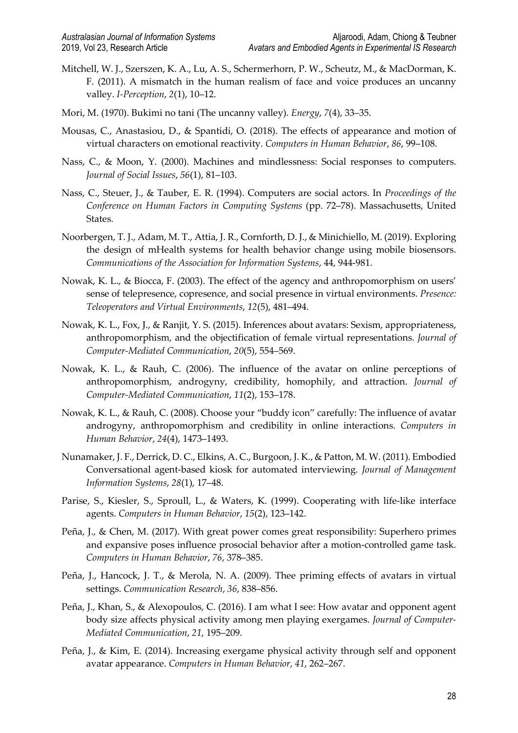- Mitchell, W. J., Szerszen, K. A., Lu, A. S., Schermerhorn, P. W., Scheutz, M., & MacDorman, K. F. (2011). A mismatch in the human realism of face and voice produces an uncanny valley. *I-Perception*, *2*(1), 10–12.
- Mori, M. (1970). Bukimi no tani (The uncanny valley). *Energy*, *7*(4), 33–35.
- Mousas, C., Anastasiou, D., & Spantidi, O. (2018). The effects of appearance and motion of virtual characters on emotional reactivity. *Computers in Human Behavior*, *86*, 99–108.
- Nass, C., & Moon, Y. (2000). Machines and mindlessness: Social responses to computers. *Journal of Social Issues*, *56*(1), 81–103.
- Nass, C., Steuer, J., & Tauber, E. R. (1994). Computers are social actors. In *Proceedings of the Conference on Human Factors in Computing Systems* (pp. 72–78). Massachusetts, United States.
- Noorbergen, T. J., Adam, M. T., Attia, J. R., Cornforth, D. J., & Minichiello, M. (2019). Exploring the design of mHealth systems for health behavior change using mobile biosensors. *Communications of the Association for Information Systems*, 44, 944-981.
- Nowak, K. L., & Biocca, F. (2003). The effect of the agency and anthropomorphism on users' sense of telepresence, copresence, and social presence in virtual environments. *Presence: Teleoperators and Virtual Environments*, *12*(5), 481–494.
- Nowak, K. L., Fox, J., & Ranjit, Y. S. (2015). Inferences about avatars: Sexism, appropriateness, anthropomorphism, and the objectification of female virtual representations. *Journal of Computer-Mediated Communication*, *20*(5), 554–569.
- Nowak, K. L., & Rauh, C. (2006). The influence of the avatar on online perceptions of anthropomorphism, androgyny, credibility, homophily, and attraction. *Journal of Computer-Mediated Communication*, *11*(2), 153–178.
- Nowak, K. L., & Rauh, C. (2008). Choose your "buddy icon" carefully: The influence of avatar androgyny, anthropomorphism and credibility in online interactions. *Computers in Human Behavior*, *24*(4), 1473–1493.
- Nunamaker, J. F., Derrick, D. C., Elkins, A. C., Burgoon, J. K., & Patton, M. W. (2011). Embodied Conversational agent-based kiosk for automated interviewing. *Journal of Management Information Systems*, *28*(1), 17–48.
- Parise, S., Kiesler, S., Sproull, L., & Waters, K. (1999). Cooperating with life-like interface agents. *Computers in Human Behavior*, *15*(2), 123–142.
- Peña, J., & Chen, M. (2017). With great power comes great responsibility: Superhero primes and expansive poses influence prosocial behavior after a motion-controlled game task. *Computers in Human Behavior*, *76*, 378–385.
- Peña, J., Hancock, J. T., & Merola, N. A. (2009). Thee priming effects of avatars in virtual settings. *Communication Research*, *36*, 838–856.
- Peña, J., Khan, S., & Alexopoulos, C. (2016). I am what I see: How avatar and opponent agent body size affects physical activity among men playing exergames. *Journal of Computer-Mediated Communication*, *21*, 195–209.
- Peña, J., & Kim, E. (2014). Increasing exergame physical activity through self and opponent avatar appearance. *Computers in Human Behavior*, *41*, 262–267.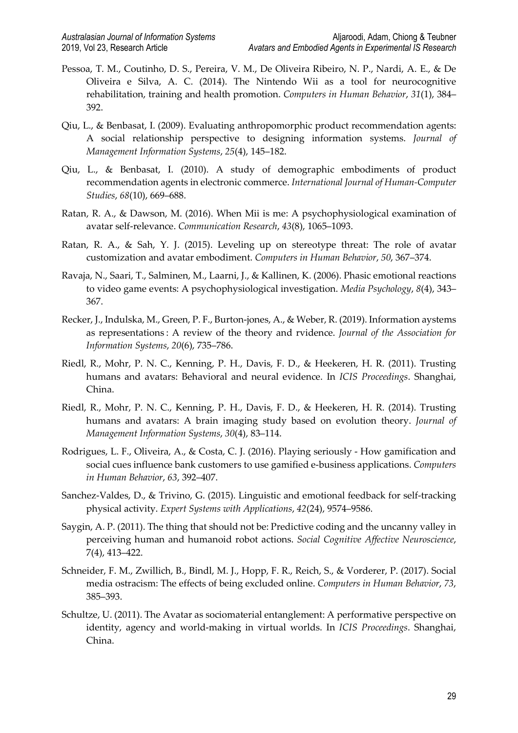- Pessoa, T. M., Coutinho, D. S., Pereira, V. M., De Oliveira Ribeiro, N. P., Nardi, A. E., & De Oliveira e Silva, A. C. (2014). The Nintendo Wii as a tool for neurocognitive rehabilitation, training and health promotion. *Computers in Human Behavior*, *31*(1), 384– 392.
- Qiu, L., & Benbasat, I. (2009). Evaluating anthropomorphic product recommendation agents: A social relationship perspective to designing information systems. *Journal of Management Information Systems*, *25*(4), 145–182.
- Qiu, L., & Benbasat, I. (2010). A study of demographic embodiments of product recommendation agents in electronic commerce. *International Journal of Human-Computer Studies*, *68*(10), 669–688.
- Ratan, R. A., & Dawson, M. (2016). When Mii is me: A psychophysiological examination of avatar self-relevance. *Communication Research*, *43*(8), 1065–1093.
- Ratan, R. A., & Sah, Y. J. (2015). Leveling up on stereotype threat: The role of avatar customization and avatar embodiment. *Computers in Human Behavior*, *50*, 367–374.
- Ravaja, N., Saari, T., Salminen, M., Laarni, J., & Kallinen, K. (2006). Phasic emotional reactions to video game events: A psychophysiological investigation. *Media Psychology*, *8*(4), 343– 367.
- Recker, J., Indulska, M., Green, P. F., Burton-jones, A., & Weber, R. (2019). Information aystems as representations : A review of the theory and rvidence. *Journal of the Association for Information Systems*, *20*(6), 735–786.
- Riedl, R., Mohr, P. N. C., Kenning, P. H., Davis, F. D., & Heekeren, H. R. (2011). Trusting humans and avatars: Behavioral and neural evidence. In *ICIS Proceedings*. Shanghai, China.
- Riedl, R., Mohr, P. N. C., Kenning, P. H., Davis, F. D., & Heekeren, H. R. (2014). Trusting humans and avatars: A brain imaging study based on evolution theory. *Journal of Management Information Systems*, *30*(4), 83–114.
- Rodrigues, L. F., Oliveira, A., & Costa, C. J. (2016). Playing seriously How gamification and social cues influence bank customers to use gamified e-business applications. *Computers in Human Behavior*, *63*, 392–407.
- Sanchez-Valdes, D., & Trivino, G. (2015). Linguistic and emotional feedback for self-tracking physical activity. *Expert Systems with Applications*, *42*(24), 9574–9586.
- Saygin, A. P. (2011). The thing that should not be: Predictive coding and the uncanny valley in perceiving human and humanoid robot actions. *Social Cognitive Affective Neuroscience*, 7(4), 413–422.
- Schneider, F. M., Zwillich, B., Bindl, M. J., Hopp, F. R., Reich, S., & Vorderer, P. (2017). Social media ostracism: The effects of being excluded online. *Computers in Human Behavior*, *73*, 385–393.
- Schultze, U. (2011). The Avatar as sociomaterial entanglement: A performative perspective on identity, agency and world-making in virtual worlds. In *ICIS Proceedings*. Shanghai, China.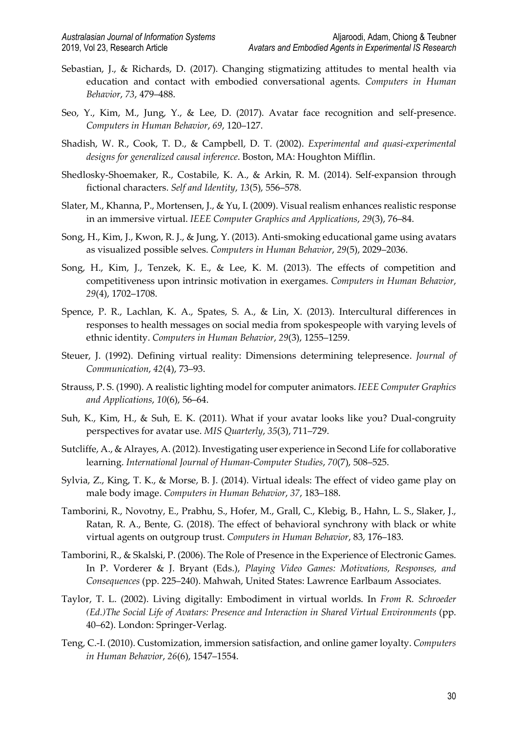- Sebastian, J., & Richards, D. (2017). Changing stigmatizing attitudes to mental health via education and contact with embodied conversational agents. *Computers in Human Behavior*, *73*, 479–488.
- Seo, Y., Kim, M., Jung, Y., & Lee, D. (2017). Avatar face recognition and self-presence. *Computers in Human Behavior*, *69*, 120–127.
- Shadish, W. R., Cook, T. D., & Campbell, D. T. (2002). *Experimental and quasi-experimental designs for generalized causal inference*. Boston, MA: Houghton Mifflin.
- Shedlosky-Shoemaker, R., Costabile, K. A., & Arkin, R. M. (2014). Self-expansion through fictional characters. *Self and Identity*, *13*(5), 556–578.
- Slater, M., Khanna, P., Mortensen, J., & Yu, I. (2009). Visual realism enhances realistic response in an immersive virtual. *IEEE Computer Graphics and Applications*, *29*(3), 76–84.
- Song, H., Kim, J., Kwon, R. J., & Jung, Y. (2013). Anti-smoking educational game using avatars as visualized possible selves. *Computers in Human Behavior*, *29*(5), 2029–2036.
- Song, H., Kim, J., Tenzek, K. E., & Lee, K. M. (2013). The effects of competition and competitiveness upon intrinsic motivation in exergames. *Computers in Human Behavior*, *29*(4), 1702–1708.
- Spence, P. R., Lachlan, K. A., Spates, S. A., & Lin, X. (2013). Intercultural differences in responses to health messages on social media from spokespeople with varying levels of ethnic identity. *Computers in Human Behavior*, *29*(3), 1255–1259.
- Steuer, J. (1992). Defining virtual reality: Dimensions determining telepresence. *Journal of Communication*, *42*(4), 73–93.
- Strauss, P. S. (1990). A realistic lighting model for computer animators. *IEEE Computer Graphics and Applications*, *10*(6), 56–64.
- Suh, K., Kim, H., & Suh, E. K. (2011). What if your avatar looks like you? Dual-congruity perspectives for avatar use. *MIS Quarterly*, *35*(3), 711–729.
- Sutcliffe, A., & Alrayes, A. (2012). Investigating user experience in Second Life for collaborative learning. *International Journal of Human-Computer Studies*, *70*(7), 508–525.
- Sylvia, Z., King, T. K., & Morse, B. J. (2014). Virtual ideals: The effect of video game play on male body image. *Computers in Human Behavior*, *37*, 183–188.
- Tamborini, R., Novotny, E., Prabhu, S., Hofer, M., Grall, C., Klebig, B., Hahn, L. S., Slaker, J., Ratan, R. A., Bente, G. (2018). The effect of behavioral synchrony with black or white virtual agents on outgroup trust. *Computers in Human Behavior*, 83, 176–183.
- Tamborini, R., & Skalski, P. (2006). The Role of Presence in the Experience of Electronic Games. In P. Vorderer & J. Bryant (Eds.), *Playing Video Games: Motivations, Responses, and Consequences* (pp. 225–240). Mahwah, United States: Lawrence Earlbaum Associates.
- Taylor, T. L. (2002). Living digitally: Embodiment in virtual worlds. In *From R. Schroeder (Ed.)The Social Life of Avatars: Presence and Interaction in Shared Virtual Environments* (pp. 40–62). London: Springer-Verlag.
- Teng, C.-I. (2010). Customization, immersion satisfaction, and online gamer loyalty. *Computers in Human Behavior*, *26*(6), 1547–1554.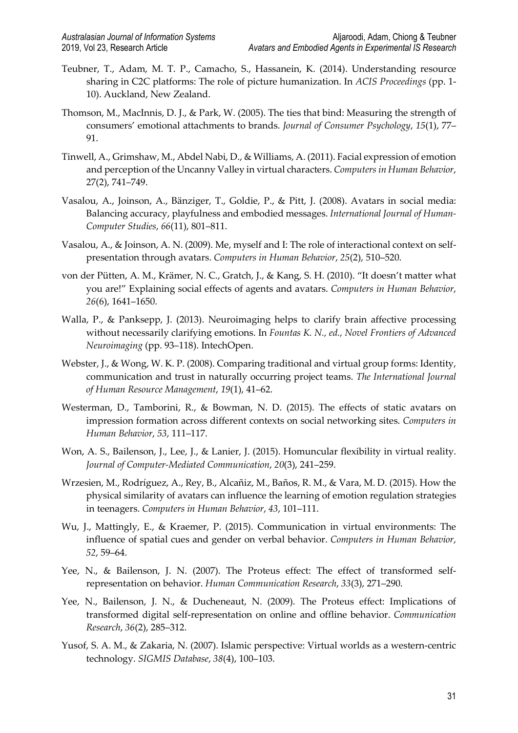- Teubner, T., Adam, M. T. P., Camacho, S., Hassanein, K. (2014). Understanding resource sharing in C2C platforms: The role of picture humanization. In *ACIS Proceedings* (pp. 1- 10). Auckland, New Zealand.
- Thomson, M., MacInnis, D. J., & Park, W. (2005). The ties that bind: Measuring the strength of consumers' emotional attachments to brands. *Journal of Consumer Psychology*, *15*(1), 77– 91.
- Tinwell, A., Grimshaw, M., Abdel Nabi, D., & Williams, A. (2011). Facial expression of emotion and perception of the Uncanny Valley in virtual characters. *Computers in Human Behavior*, 27(2), 741–749.
- Vasalou, A., Joinson, A., Bänziger, T., Goldie, P., & Pitt, J. (2008). Avatars in social media: Balancing accuracy, playfulness and embodied messages. *International Journal of Human-Computer Studies*, *66*(11), 801–811.
- Vasalou, A., & Joinson, A. N. (2009). Me, myself and I: The role of interactional context on selfpresentation through avatars. *Computers in Human Behavior*, *25*(2), 510–520.
- von der Pütten, A. M., Krämer, N. C., Gratch, J., & Kang, S. H. (2010). "It doesn't matter what you are!" Explaining social effects of agents and avatars. *Computers in Human Behavior*, *26*(6), 1641–1650.
- Walla, P., & Panksepp, J. (2013). Neuroimaging helps to clarify brain affective processing without necessarily clarifying emotions. In *Fountas K. N., ed., Novel Frontiers of Advanced Neuroimaging* (pp. 93–118). IntechOpen.
- Webster, J., & Wong, W. K. P. (2008). Comparing traditional and virtual group forms: Identity, communication and trust in naturally occurring project teams. *The International Journal of Human Resource Management*, *19*(1), 41–62.
- Westerman, D., Tamborini, R., & Bowman, N. D. (2015). The effects of static avatars on impression formation across different contexts on social networking sites. *Computers in Human Behavior*, *53*, 111–117.
- Won, A. S., Bailenson, J., Lee, J., & Lanier, J. (2015). Homuncular flexibility in virtual reality. *Journal of Computer-Mediated Communication*, *20*(3), 241–259.
- Wrzesien, M., Rodríguez, A., Rey, B., Alcañiz, M., Baños, R. M., & Vara, M. D. (2015). How the physical similarity of avatars can influence the learning of emotion regulation strategies in teenagers. *Computers in Human Behavior*, *43*, 101–111.
- Wu, J., Mattingly, E., & Kraemer, P. (2015). Communication in virtual environments: The influence of spatial cues and gender on verbal behavior. *Computers in Human Behavior*, *52*, 59–64.
- Yee, N., & Bailenson, J. N. (2007). The Proteus effect: The effect of transformed selfrepresentation on behavior. *Human Communication Research*, *33*(3), 271–290.
- Yee, N., Bailenson, J. N., & Ducheneaut, N. (2009). The Proteus effect: Implications of transformed digital self-representation on online and offline behavior. *Communication Research*, *36*(2), 285–312.
- Yusof, S. A. M., & Zakaria, N. (2007). Islamic perspective: Virtual worlds as a western-centric technology. *SIGMIS Database*, *38*(4), 100–103.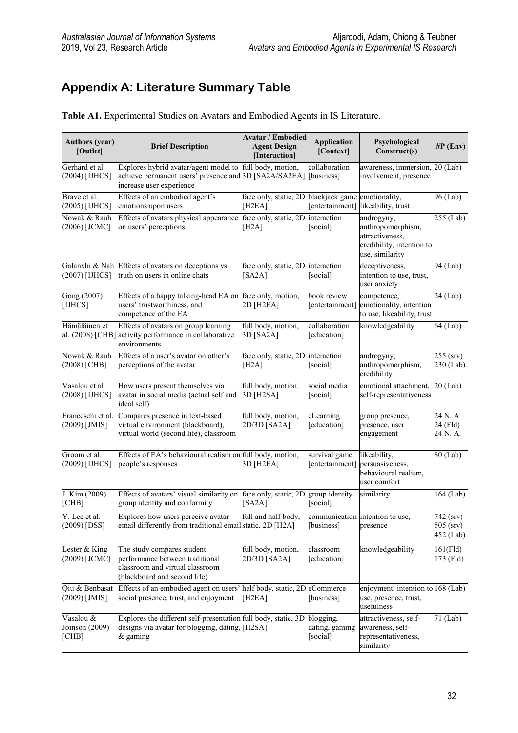# **Appendix A: Literature Summary Table**

| <b>Authors (year)</b><br>[Outlet]    | <b>Brief Description</b>                                                                                                                      | <b>Avatar / Embodied</b><br><b>Agent Design</b><br>[Interaction] | <b>Application</b><br>[Context]         | Psychological<br>Construct(s)                                                                      | $\#P$ (Env)                                    |
|--------------------------------------|-----------------------------------------------------------------------------------------------------------------------------------------------|------------------------------------------------------------------|-----------------------------------------|----------------------------------------------------------------------------------------------------|------------------------------------------------|
| Gerhard et al.<br>(2004) [IJHCS]     | Explores hybrid avatar/agent model to full body, motion,<br>achieve permanent users' presence and 3D [SA2A/SA2EA]<br>increase user experience |                                                                  | collaboration<br>[business]             | awareness, immersion, 20 (Lab)<br>involvement, presence                                            |                                                |
| Brave et al.<br>(2005) [IJHCS]       | Effects of an embodied agent's<br>emotions upon users                                                                                         | face only, static, 2D<br>[ $H2EA$ ]                              | blackjack game<br>[entertainment]       | emotionality,<br>likeability, trust                                                                | 96 (Lab)                                       |
| Nowak & Rauh<br>(2006) [JCMC]        | Effects of avatars physical appearance<br>on users' perceptions                                                                               | face only, static, 2D<br>[H2A]                                   | interaction<br>[social]                 | androgyny,<br>anthropomorphism,<br>attractiveness,<br>credibility, intention to<br>use, similarity | 255 (Lab)                                      |
| (2007) [IJHCS]                       | Galanxhi & Nah Effects of avatars on deceptions vs.<br>truth on users in online chats                                                         | face only, static, 2D interaction<br>[SA2A]                      | [social]                                | deceptiveness,<br>intention to use, trust,<br>user anxiety                                         | 94 (Lab)                                       |
| Gong (2007)<br>[IJHCS]               | Effects of a happy talking-head EA on face only, motion,<br>users' trustworthiness, and<br>competence of the EA                               | 2D [H2EA]                                                        | book review<br>[entertainment]          | competence,<br>emotionality, intention<br>to use, likeability, trust                               | 24 (Lab)                                       |
| Hämäläinen et                        | Effects of avatars on group learning<br>al. (2008) [CHB] activity performance in collaborative<br>environments                                | full body, motion,<br>3D [SA2A]                                  | collaboration<br>[education]            | knowledgeability                                                                                   | 64 (Lab)                                       |
| Nowak & Rauh<br>(2008) [CHB]         | Effects of a user's avatar on other's<br>perceptions of the avatar                                                                            | face only, static, 2D<br>[H2A]                                   | interaction<br>[social]                 | androgyny,<br>anthropomorphism,<br>credibility                                                     | $255$ (srv)<br>230 (Lab)                       |
| Vasalou et al.<br>(2008) [IJHCS]     | How users present themselves via<br>avatar in social media (actual self and<br>ideal self)                                                    | full body, motion,<br>3D [H2SA]                                  | social media<br>[social]                | emotional attachment,<br>self-representativeness                                                   | $20$ (Lab)                                     |
| Franceschi et al.<br>$(2009)$ [JMIS] | Compares presence in text-based<br>virtual environment (blackboard),<br>virtual world (second life), classroom                                | full body, motion,<br>2D/3D [SA2A]                               | eLearning<br>[education]                | group presence,<br>presence, user<br>engagement                                                    | 24 N.A.<br>24 (Fld)<br>24 N.A.                 |
| Groom et al.<br>(2009) [IJHCS]       | Effects of EA's behavioural realism on full body, motion,<br>people's responses                                                               | 3D [H2EA]                                                        | survival game<br>[entertainment]        | likeability,<br>persuasiveness,<br>behavioural realism,<br>user comfort                            | 80 (Lab)                                       |
| J. Kim (2009)<br>CHB]                | Effects of avatars' visual similarity on<br>group identity and conformity                                                                     | face only, static, 2D<br>[SA2A]                                  | group identity<br>[social]              | similarity                                                                                         | 164 (Lab)                                      |
| Y. Lee et al.<br>$(2009)$ [DSS]      | Explores how users perceive avatar<br>email differently from traditional email static, 2D [H2A]                                               | full and half body,                                              | [business]                              | communication intention to use,<br>presence                                                        | $\sqrt{7}42$ (srv)<br>$505$ (srv)<br>452 (Lab) |
| Lester & King<br>(2009) [JCMC]       | The study compares student<br>performance between traditional<br>classroom and virtual classroom<br>(blackboard and second life)              | full body, motion,<br>2D/3D [SA2A]                               | classroom<br>[education]                | knowledgeability                                                                                   | $161$ (Fld)<br>173 (Fld)                       |
| Qiu & Benbasat<br>(2009) [JMIS]      | Effects of an embodied agent on users'<br>social presence, trust, and enjoyment                                                               | half body, static, 2D eCommerce<br>[H <sub>2</sub> EA]           | [business]                              | enjoyment, intention to 168 (Lab)<br>use, presence, trust,<br>usefulness                           |                                                |
| Vasalou &<br>Joinson (2009)<br>[CHB] | Explores the different self-presentation full body, static, 3D<br>designs via avatar for blogging, dating, [H2SA]<br>& gaming                 |                                                                  | blogging,<br>dating, gaming<br>[social] | attractiveness, self-<br>awareness, self-<br>representativeness,<br>similarity                     | 71 (Lab)                                       |

**Table A1.** Experimental Studies on Avatars and Embodied Agents in IS Literature.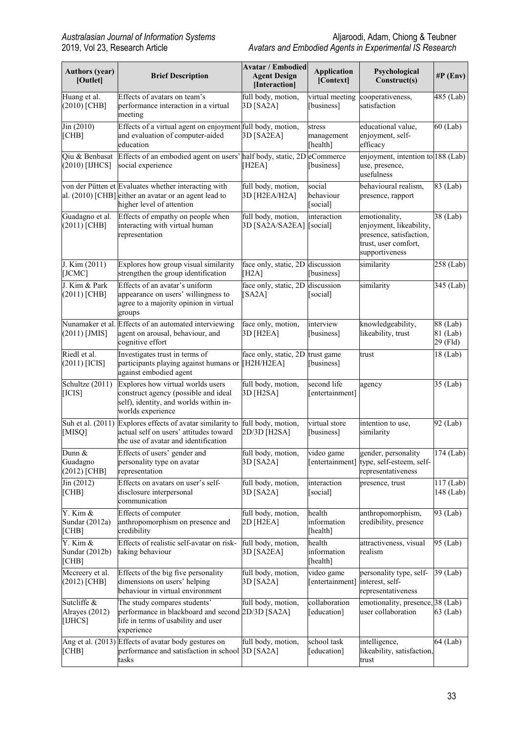| <b>Authors (year)</b><br>[Outlet]        | <b>Brief Description</b>                                                                                                                   | <b>Avatar / Embodied</b><br><b>Agent Design</b><br>[Interaction] | <b>Application</b><br>[Context]   | Psychological<br>Construct(s)                                                                                 | $\#P$ (Env)                      |
|------------------------------------------|--------------------------------------------------------------------------------------------------------------------------------------------|------------------------------------------------------------------|-----------------------------------|---------------------------------------------------------------------------------------------------------------|----------------------------------|
| Huang et al.<br>$(2010)$ [CHB]           | Effects of avatars on team's<br>performance interaction in a virtual<br>meeting                                                            | full body, motion,<br>3D [SA2A]                                  | [business]                        | virtual meeting cooperativeness,<br>satisfaction                                                              | 485 (Lab)                        |
| $\text{Jin} (2010)$<br>[CHB]             | Effects of a virtual agent on enjoyment full body, motion,<br>and evaluation of computer-aided<br>education                                | 3D [SA2EA]                                                       | stress<br>management<br>[health]  | educational value,<br>enjoyment, self-<br>efficacy                                                            | $60$ (Lab)                       |
| Oiu & Benbasat<br>(2010) [IJHCS]         | Effects of an embodied agent on users' half body, static, 2D eCommerce<br>social experience                                                | [ $H2EA$ ]                                                       | [business]                        | enjoyment, intention to 188 (Lab)<br>use, presence,<br>usefulness                                             |                                  |
|                                          | von der Pütten et Evaluates whether interacting with<br>al. (2010) [CHB] either an avatar or an agent lead to<br>higher level of attention | full body, motion,<br>3D [H2EA/H2A]                              | social<br>behaviour<br>[social]   | behavioural realism,<br>presence, rapport                                                                     | 83 (Lab)                         |
| Guadagno et al.<br>$(2011)$ [CHB]        | Effects of empathy on people when<br>interacting with virtual human<br>representation                                                      | full body, motion,<br>3D [SA2A/SA2EA] [social]                   | interaction                       | emotionality,<br>enjoyment, likeability,<br>presence, satisfaction,<br>trust, user comfort,<br>supportiveness | 38 (Lab)                         |
| J. Kim (2011)<br>[JCMC]                  | Explores how group visual similarity<br>strengthen the group identification                                                                | face only, static, 2D discussion<br>[H2A]                        | [business]                        | similarity                                                                                                    | $258$ (Lab)                      |
| J. Kim & Park<br>$(2011)$ [CHB]          | Effects of an avatar's uniform<br>appearance on users' willingness to<br>agree to a majority opinion in virtual<br>groups                  | face only, static, 2D discussion<br>[SA2A]                       | [social]                          | similarity                                                                                                    | 345 (Lab)                        |
| Nunamaker et al.<br>$(2011)$ [JMIS]      | Effects of an automated interviewing<br>agent on arousal, behaviour, and<br>cognitive effort                                               | face only, motion,<br>3D [H2EA]                                  | interview<br>[business]           | knowledgeability,<br>likeability, trust                                                                       | 88 (Lab)<br>81 (Lab)<br>29 (Fld) |
| Riedl et al.<br>$(2011)$ [ICIS]          | Investigates trust in terms of<br>participants playing against humans or [H2H/H2EA]<br>against embodied agent                              | face only, static, 2D                                            | trust game<br>[business]          | trust                                                                                                         | 18 (Lab)                         |
| Schultze $(2011)$<br>[ICIS]              | Explores how virtual worlds users<br>construct agency (possible and ideal<br>self), identity, and worlds within in-<br>worlds experience   | full body, motion,<br>3D [H2SA]                                  | second life<br>[entertainment]    | agency                                                                                                        | $\overline{35}$ (Lab)            |
| Suh et al. (2011)<br>[MISQ]              | Explores effects of avatar similarity to<br>actual self on users' attitudes toward<br>the use of avatar and identification                 | full body, motion,<br>2D/3D [H2SA]                               | virtual store<br>[business]       | intention to use,<br>similarity                                                                               | 92 (Lab)                         |
| Dunn &<br>Guadagno<br>$(2012)$ [CHB]     | Effects of users' gender and<br>personality type on avatar<br>representation                                                               | full body, motion,<br>3D [SA2A]                                  | video game<br>[entertainment]     | gender, personality<br>type, self-esteem, self-<br>representativeness                                         | $174$ (Lab)                      |
| $\text{Jin} (2012)$<br>[CHB]             | Effects on avatars on user's self-<br>disclosure interpersonal<br>communication                                                            | full body, motion,<br>3D [SA2A]                                  | interaction<br>[social]           | presence, trust                                                                                               | $117$ (Lab)<br>148 (Lab)         |
| Y. Kim &<br>Sundar (2012a)<br>[CHB]      | Effects of computer<br>anthropomorphism on presence and<br>credibility                                                                     | full body, motion,<br>2D [H2EA]                                  | health<br>information<br>[health] | anthropomorphism,<br>credibility, presence                                                                    | $\overline{9}3$ (Lab)            |
| Y. Kim &<br>Sundar (2012b)<br>[CHB]      | Effects of realistic self-avatar on risk-<br>taking behaviour                                                                              | full body, motion,<br>3D [SA2EA]                                 | health<br>information<br>[health] | attractiveness, visual<br>realism                                                                             | 95 (Lab)                         |
| Mccreery et al.<br>$(2012)$ [CHB]        | Effects of the big five personality<br>dimensions on users' helping<br>behaviour in virtual environment                                    | full body, motion,<br>3D [SA2A]                                  | video game<br>[entertainment]     | personality type, self-<br>interest, self-<br>representativeness                                              | 39 (Lab)                         |
| Sutcliffe &<br>Alrayes (2012)<br>[IJHCS] | The study compares students'<br>performance in blackboard and second 2D/3D [SA2A]<br>life in terms of usability and user<br>experience     | full body, motion,                                               | collaboration<br>[education]      | emotionality, presence, 38 (Lab)<br>user collaboration                                                        | 63 (Lab)                         |
| [CHB]                                    | Ang et al. (2013) Effects of avatar body gestures on<br>performance and satisfaction in school 3D [SA2A]<br>tasks                          | full body, motion,                                               | school task<br>[education]        | intelligence,<br>likeability, satisfaction,<br>trust                                                          | 64 (Lab)                         |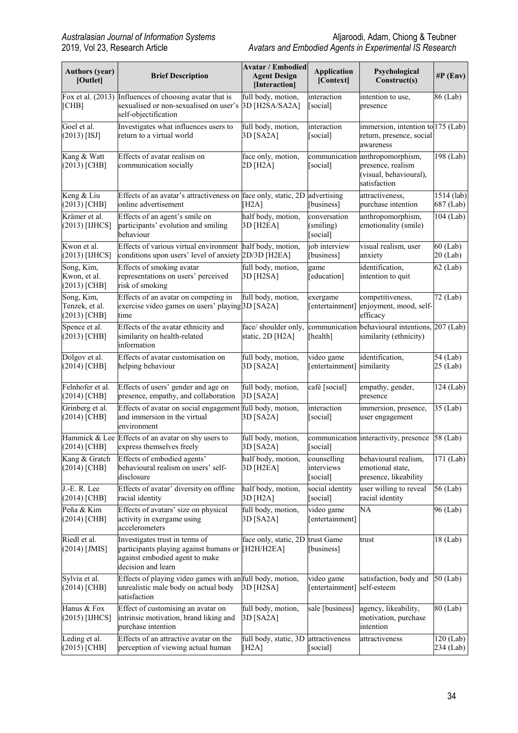| <b>Authors (year)</b><br>[Outlet]              | <b>Brief Description</b>                                                                                                                    | <b>Avatar / Embodied</b><br><b>Agent Design</b><br>[Interaction] | <b>Application</b><br>[Context]       | Psychological<br>Construct(s)                                                    | $\#P$ (Env)               |
|------------------------------------------------|---------------------------------------------------------------------------------------------------------------------------------------------|------------------------------------------------------------------|---------------------------------------|----------------------------------------------------------------------------------|---------------------------|
| [CHB]                                          | Fox et al. (2013) Influences of choosing avatar that is<br>sexualised or non-sexualised on user's<br>self-objectification                   | full body, motion,<br>3D [H2SA/SA2A]                             | interaction<br>[social]               | intention to use,<br>presence                                                    | 86 (Lab)                  |
| Goel et al.<br>$(2013)$ [ISJ]                  | Investigates what influences users to<br>return to a virtual world                                                                          | full body, motion,<br>3D [SA2A]                                  | interaction<br>[social]               | immersion, intention to 175 (Lab)<br>return, presence, social<br>awareness       |                           |
| Kang & Watt<br>$(2013)$ [CHB]                  | Effects of avatar realism on<br>communication socially                                                                                      | face only, motion,<br>2D [H2A]                                   | communication<br>[social]             | anthropomorphism,<br>presence, realism<br>(visual, behavioural),<br>satisfaction | $\overline{198}$ (Lab)    |
| Keng & Liu<br>$(2013)$ [CHB]                   | Effects of an avatar's attractiveness on face only, static, 2D<br>online advertisement                                                      | [H2A]                                                            | advertising<br>[business]             | attractiveness,<br>purchase intention                                            | $1514$ (lab)<br>687 (Lab) |
| Krämer et al.<br>$(2013)$ [IJHCS]              | Effects of an agent's smile on<br>participants' evolution and smiling<br>behaviour                                                          | half body, motion,<br>3D [H2EA]                                  | conversation<br>(smiling)<br>[social] | anthropomorphism,<br>emotionality (smile)                                        | 104 (Lab)                 |
| Kwon et al.<br>(2013) [IJHCS]                  | Effects of various virtual environment half body, motion,<br>conditions upon users' level of anxiety 2D/3D [H2EA]                           |                                                                  | job interview<br>[business]           | visual realism, user<br>anxiety                                                  | $60$ (Lab)<br>$20$ (Lab)  |
| Song, Kim,<br>Kwon, et al.<br>$(2013)$ [CHB]   | Effects of smoking avatar<br>representations on users' perceived<br>risk of smoking                                                         | full body, motion,<br>3D [H2SA]                                  | game<br>[education]                   | identification,<br>intention to quit                                             | $62$ (Lab)                |
| Song, Kim,<br>Tenzek, et al.<br>$(2013)$ [CHB] | Effects of an avatar on competing in<br>exercise video games on users' playing 3D [SA2A]<br>time                                            | full body, motion,                                               | exergame<br>[entertainment]           | competitiveness,<br>enjoyment, mood, self-<br>efficacy                           | 72 (Lab)                  |
| Spence et al.<br>$(2013)$ [CHB]                | Effects of the avatar ethnicity and<br>similarity on health-related<br>information                                                          | face/ shoulder only,<br>static, 2D [H2A]                         | communication<br>[health]             | behavioural intentions, 207 (Lab)<br>similarity (ethnicity)                      |                           |
| Dolgov et al.<br>$(2014)$ [CHB]                | Effects of avatar customisation on<br>helping behaviour                                                                                     | full body, motion,<br>3D [SA2A]                                  | video game<br>[entertainment]         | identification,<br>similarity                                                    | 54 (Lab)<br>25 (Lab)      |
| Felnhofer et al.<br>$(2014)$ [CHB]             | Effects of users' gender and age on<br>presence, empathy, and collaboration                                                                 | full body, motion,<br>3D [SA2A]                                  | café [social]                         | empathy, gender,<br>presence                                                     | $\overline{1}24$ (Lab)    |
| Grinberg et al.<br>$(2014)$ [CHB]              | Effects of avatar on social engagement full body, motion,<br>and immersion in the virtual<br>environment                                    | 3D [SA2A]                                                        | interaction<br>[social]               | immersion, presence,<br>user engagement                                          | $\overline{35}$ (Lab)     |
| Hammick & Lee<br>(2014) [CHB]                  | Effects of an avatar on shy users to<br>express themselves freely                                                                           | full body, motion,<br>3D [SA2A]                                  | [social]                              | communication interactivity, presence                                            | 58 (Lab)                  |
| Kang & Gratch<br>(2014) [CHB]                  | Effects of embodied agents'<br>behavioural realism on users' self-<br>disclosure                                                            | half body, motion,<br>3D [H2EA]                                  | counselling<br>interviews<br>[social] | behavioural realism,<br>emotional state,<br>presence, likeability                | $\overline{171}$ (Lab)    |
| J.-E. R. Lee<br>$(2014)$ [CHB]                 | Effects of avatar' diversity on offline<br>racial identity                                                                                  | half body, motion,<br>3D [H2A]                                   | social identity<br>[social]           | user willing to reveal<br>racial identity                                        | 56 (Lab)                  |
| Peña & Kim<br>$(2014)$ [CHB]                   | Effects of avatars' size on physical<br>activity in exergame using<br>accelerometers                                                        | full body, motion,<br>3D [SA2A]                                  | video game<br>[entertainment]         | NA                                                                               | 96 (Lab)                  |
| Riedl et al.<br>$(2014)$ [JMIS]                | Investigates trust in terms of<br>participants playing against humans or [H2H/H2EA]<br>against embodied agent to make<br>decision and learn | face only, static, 2D                                            | trust Game<br>[business]              | trust                                                                            | 18 (Lab)                  |
| Sylvia et al.<br>$(2014)$ [CHB]                | Effects of playing video games with an full body, motion,<br>unrealistic male body on actual body<br>satisfaction                           | 3D [H2SA]                                                        | video game<br>[entertainment]         | satisfaction, body and<br>self-esteem                                            | 50 (Lab)                  |
| Hanus & Fox<br>$(2015)$ [IJHCS]                | Effect of customising an avatar on<br>intrinsic motivation, brand liking and<br>purchase intention                                          | full body, motion,<br>3D [SA2A]                                  | sale [business]                       | agency, likeability,<br>motivation, purchase<br>intention                        | 80 (Lab)                  |
| Leding et al.<br>$(2015)$ [CHB]                | Effects of an attractive avatar on the<br>perception of viewing actual human                                                                | full body, static, 3D attractiveness<br>[H2A]                    | [social]                              | attractiveness                                                                   | $120$ (Lab)<br>234 (Lab)  |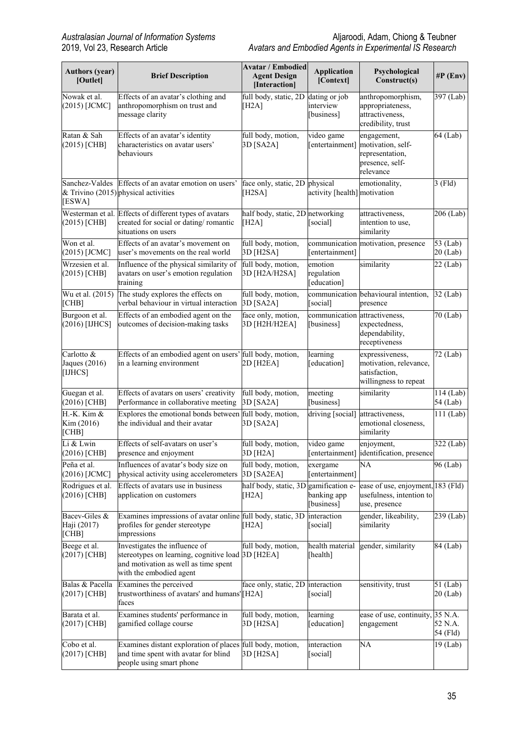| <b>Authors (year)</b><br>[Outlet]        | <b>Brief Description</b>                                                                                                                              | <b>Avatar / Embodied</b><br><b>Agent Design</b><br>[Interaction] | <b>Application</b><br>[Context]          | Psychological<br>Construct(s)                                                       | $\#P$ (Env)              |
|------------------------------------------|-------------------------------------------------------------------------------------------------------------------------------------------------------|------------------------------------------------------------------|------------------------------------------|-------------------------------------------------------------------------------------|--------------------------|
| Nowak et al.<br>$(2015)$ [JCMC]          | Effects of an avatar's clothing and<br>anthropomorphism on trust and<br>message clarity                                                               | full body, static, 2D<br>[H2A]                                   | dating or job<br>interview<br>[business] | anthropomorphism,<br>appropriateness,<br>attractiveness,<br>credibility, trust      | $\overline{3}97$ (Lab)   |
| Ratan & Sah<br>$(2015)$ [CHB]            | Effects of an avatar's identity<br>characteristics on avatar users'<br>behaviours                                                                     | full body, motion,<br>3D [SA2A]                                  | video game<br>[entertainment]            | engagement,<br>motivation, self-<br>representation,<br>presence, self-<br>relevance | 64 (Lab)                 |
| Sanchez-Valdes<br>[ESWA]                 | Effects of an avatar emotion on users'<br>& Trivino (2015) physical activities                                                                        | face only, static, 2D<br>[ $H2SA$ ]                              | physical<br>activity [health] motivation | emotionality,                                                                       | $3$ (Fld)                |
| $(2015)$ [CHB]                           | Westerman et al. Effects of different types of avatars<br>created for social or dating/romantic<br>situations on users                                | half body, static, 2D networking<br>[H2A]                        | [social]                                 | attractiveness,<br>intention to use,<br>similarity                                  | 206 (Lab)                |
| Won et al.<br>(2015) [JCMC]              | Effects of an avatar's movement on<br>user's movements on the real world                                                                              | full body, motion,<br>3D [H2SA]                                  | communication<br>[entertainment]         | motivation, presence                                                                | $53$ (Lab)<br>$20$ (Lab) |
| Wrzesien et al.<br>$(2015)$ [CHB]        | Influence of the physical similarity of<br>avatars on user's emotion regulation<br>training                                                           | full body, motion,<br>3D [H2A/H2SA]                              | emotion<br>regulation<br>[education]     | similarity                                                                          | 22 (Lab)                 |
| Wu et al. (2015)<br>[CHB]                | The study explores the effects on<br>verbal behaviour in virtual interaction                                                                          | full body, motion,<br>3D [SA2A]                                  | [social]                                 | communication behavioural intention,<br>presence                                    | 32 (Lab)                 |
| Burgoon et al.<br>(2016) [IJHCS]         | Effects of an embodied agent on the<br>outcomes of decision-making tasks                                                                              | face only, motion,<br>3D [H2H/H2EA]                              | communication<br>[business]              | attractiveness,<br>expectedness,<br>dependability,<br>receptiveness                 | 70 (Lab)                 |
| Carlotto &<br>Jaques $(2016)$<br>[IJHCS] | Effects of an embodied agent on users' full body, motion,<br>in a learning environment                                                                | 2D [H2EA]                                                        | learning<br>[education]                  | expressiveness,<br>motivation, relevance,<br>satisfaction,<br>willingness to repeat | 72 (Lab)                 |
| Guegan et al.<br>$(2016)$ [CHB]          | Effects of avatars on users' creativity<br>Performance in collaborative meeting                                                                       | full body, motion,<br>3D [SA2A]                                  | meeting<br>[business]                    | similarity                                                                          | 114 (Lab)<br>54 (Lab)    |
| $H.-K.$ Kim $&$<br>Kim (2016)<br>[CHB]   | Explores the emotional bonds between full body, motion,<br>the individual and their avatar                                                            | 3D [SA2A]                                                        | driving [social]                         | attractiveness,<br>emotional closeness,<br>similarity                               | 111 (Lab)                |
| Li & Lwin<br>(2016) [CHB]                | Effects of self-avatars on user's<br>presence and enjoyment                                                                                           | full body, motion,<br>3D [H <sub>2</sub> A]                      | video game                               | enjoyment,<br>[entertainment] dentification, presence                               | 322 (Lab)                |
| Peña et al.<br>$(2016)$ [JCMC]           | Influences of avatar's body size on<br>physical activity using accelerometers                                                                         | full body, motion,<br>3D [SA2EA]                                 | exergame<br>[entertainment]              | NA                                                                                  | 96 (Lab)                 |
| Rodrigues et al.<br>$(2016)$ [CHB]       | Effects of avatars use in business<br>application on customers                                                                                        | half body, static, 3D gamification e-<br>[H2A]                   | banking app<br>[business]                | ease of use, enjoyment, 183 (Fld)<br>usefulness, intention to<br>use, presence      |                          |
| Bacev-Giles &<br>Haji (2017)<br>[CHB]    | Examines impressions of avatar online full body, static, 3D<br>profiles for gender stereotype<br>impressions                                          | [H2A]                                                            | interaction<br>[social]                  | gender, likeability,<br>similarity                                                  | 239 (Lab)                |
| Beege et al.<br>$(2017)$ [CHB]           | Investigates the influence of<br>stereotypes on learning, cognitive load 3D [H2EA]<br>and motivation as well as time spent<br>with the embodied agent | full body, motion,                                               | health material<br>[health]              | gender, similarity                                                                  | 84 (Lab)                 |
| Balas & Pacella<br>$(2017)$ [CHB]        | Examines the perceived<br>trustworthiness of avatars' and humans'[H2A]<br>faces                                                                       | face only, static, 2D                                            | interaction<br>[social]                  | sensitivity, trust                                                                  | 51 (Lab)<br>$20$ (Lab)   |
| Barata et al.<br>$(2017)$ [CHB]          | Examines students' performance in<br>gamified collage course                                                                                          | full body, motion,<br>3D [H2SA]                                  | learning<br>[education]                  | ease of use, continuity, 35 N.A.<br>engagement                                      | 52 N.A.<br>54 (Fld)      |
| Cobo et al.<br>$(2017)$ [CHB]            | Examines distant exploration of places full body, motion,<br>and time spent with avatar for blind<br>people using smart phone                         | 3D [H2SA]                                                        | interaction<br>[social]                  | NA                                                                                  | 19 (Lab)                 |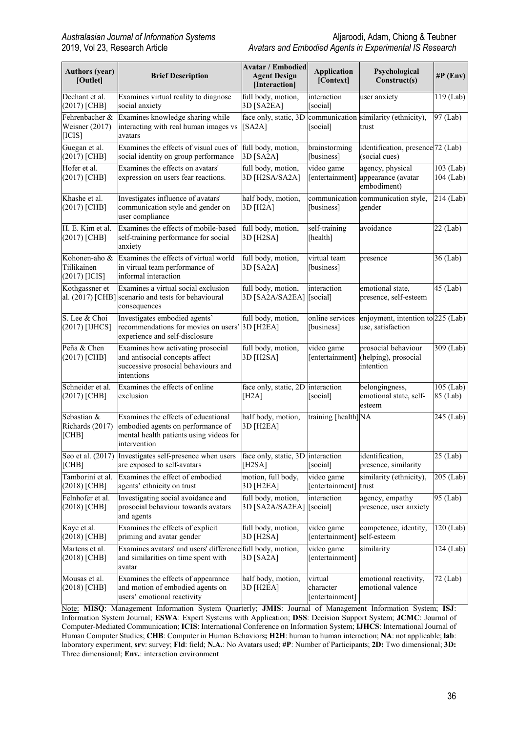| <b>Authors (year)</b><br>[Outlet]               | <b>Brief Description</b>                                                                                                            | <b>Avatar / Embodied</b><br><b>Agent Design</b><br>[Interaction] | <b>Application</b><br>[Context]         | Psychological<br>Construct(s)                                        | $\#P$ (Env)            |
|-------------------------------------------------|-------------------------------------------------------------------------------------------------------------------------------------|------------------------------------------------------------------|-----------------------------------------|----------------------------------------------------------------------|------------------------|
| Dechant et al.<br>$(2017)$ [CHB]                | Examines virtual reality to diagnose<br>social anxiety                                                                              | full body, motion,<br>3D [SA2EA]                                 | interaction<br>[social]                 | user anxiety                                                         | 119 (Lab)              |
| Fehrenbacher &<br>Weisner (2017)<br>[ICIS]      | Examines knowledge sharing while<br>interacting with real human images vs<br>avatars                                                | [SA2A]                                                           | [social]                                | face only, static, 3D communication similarity (ethnicity),<br>trust | $\overline{97}$ (Lab)  |
| Guegan et al.<br>(2017) [CHB]                   | Examines the effects of visual cues of<br>social identity on group performance                                                      | full body, motion,<br>3D [SA2A]                                  | brainstorming<br>[business]             | identification, presence <sup>72</sup> (Lab)<br>(social cues)        |                        |
| Hofer et al.<br>$(2017)$ [CHB]                  | Examines the effects on avatars'<br>expression on users fear reactions.                                                             | full body, motion,<br>3D [H2SA/SA2A]                             | video game<br>[entertainment]           | agency, physical<br>appearance (avatar<br>embodiment)                | 103 (Lab)<br>104 (Lab) |
| Khashe et al.<br>$(2017)$ [CHB]                 | Investigates influence of avatars'<br>communication style and gender on<br>user compliance                                          | half body, motion,<br>3D [H2A]                                   | communication<br>[business]             | communication style,<br>gender                                       | 214 (Lab)              |
| H. E. Kim et al.<br>(2017) [CHB]                | Examines the effects of mobile-based<br>self-training performance for social<br>anxiety                                             | full body, motion,<br>3D [H2SA]                                  | self-training<br>[health]               | avoidance                                                            | $22$ (Lab)             |
| Kohonen-aho &<br>Tiilikainen<br>$(2017)$ [ICIS] | Examines the effects of virtual world<br>in virtual team performance of<br>informal interaction                                     | full body, motion,<br>3D [SA2A]                                  | virtual team<br>[business]              | presence                                                             | $36$ (Lab)             |
| Kothgassner et<br>al. (2017) [CHB]              | Examines a virtual social exclusion<br>scenario and tests for behavioural<br>consequences                                           | full body, motion,<br>3D [SA2A/SA2EA]                            | interaction<br>[social]                 | emotional state,<br>presence, self-esteem                            | $45$ (Lab)             |
| S. Lee & Choi<br>(2017) [IJHCS]                 | Investigates embodied agents'<br>recommendations for movies on users'<br>experience and self-disclosure                             | full body, motion,<br>3D [H2EA]                                  | online services<br>[business]           | enjoyment, intention to 225 (Lab)<br>use, satisfaction               |                        |
| Peña & Chen<br>$(2017)$ [CHB]                   | Examines how activating prosocial<br>and antisocial concepts affect<br>successive prosocial behaviours and<br>intentions            | full body, motion,<br>3D [H2SA]                                  | video game<br>[entertainment]           | prosocial behaviour<br>(helping), prosocial<br>intention             | $\overline{309}$ (Lab) |
| Schneider et al.<br>(2017) [CHB]                | Examines the effects of online<br>exclusion                                                                                         | face only, static, 2D interaction<br>[H2A]                       | [social]                                | belongingness,<br>emotional state, self-<br>esteem                   | 105 (Lab)<br>85 (Lab)  |
| Sebastian &<br>Richards (2017)<br>[CHB]         | Examines the effects of educational<br>embodied agents on performance of<br>mental health patients using videos for<br>intervention | half body, motion,<br>3D [H2EA]                                  | training [health]NA                     |                                                                      | 245 (Lab)              |
| [CHB]                                           | Seo et al. (2017) Investigates self-presence when users<br>are exposed to self-avatars                                              | face only, static, 3D interaction<br>[ $H2SA$ ]                  | [social]                                | identification,<br>presence, similarity                              | $25$ (Lab)             |
| Tamborini et al.<br>$(2018)$ [CHB]              | Examines the effect of embodied<br>agents' ethnicity on trust                                                                       | motion, full body,<br>3D [H2EA]                                  | video game<br>[entertainment]           | similarity (ethnicity),<br>trust                                     | 205 (Lab)              |
| Felnhofer et al.<br>$(2018)$ [CHB]              | Investigating social avoidance and<br>prosocial behaviour towards avatars<br>and agents                                             | full body, motion,<br>3D [SA2A/SA2EA]                            | interaction<br>[social]                 | agency, empathy<br>presence, user anxiety                            | 95 (Lab)               |
| Kaye et al.<br>$(2018)$ [CHB]                   | Examines the effects of explicit<br>priming and avatar gender                                                                       | full body, motion,<br>3D [H2SA]                                  | video game<br>[entertainment]           | competence, identity,<br>self-esteem                                 | 120 (Lab)              |
| Martens et al.<br>$(2018)$ [CHB]                | Examines avatars' and users' difference full body, motion,<br>and similarities on time spent with<br>avatar                         | 3D [SA2A]                                                        | video game<br>[entertainment]           | similarity                                                           | 124 (Lab)              |
| Mousas et al.<br>$(2018)$ [CHB]                 | Examines the effects of appearance<br>and motion of embodied agents on<br>users' emotional reactivity                               | half body, motion,<br>3D [H2EA]                                  | virtual<br>character<br>[entertainment] | emotional reactivity,<br>emotional valence                           | 72 (Lab)               |

Note: **MISQ**: Management Information System Quarterly; **JMIS**: Journal of Management Information System; **ISJ**: Information System Journal; **ESWA**: Expert Systems with Application; **DSS**: Decision Support System; **JCMC**: Journal of Computer-Mediated Communication; **ICIS**: International Conference on Information System; **IJHCS**: International Journal of Human Computer Studies; **CHB**: Computer in Human Behaviors**; H2H**: human to human interaction; **NA**: not applicable; **lab**: laboratory experiment, **srv**: survey; **Fld**: field; **N.A.**: No Avatars used; **#P**: Number of Participants; **2D:** Two dimensional; **3D:** Three dimensional; **Env.**: interaction environment